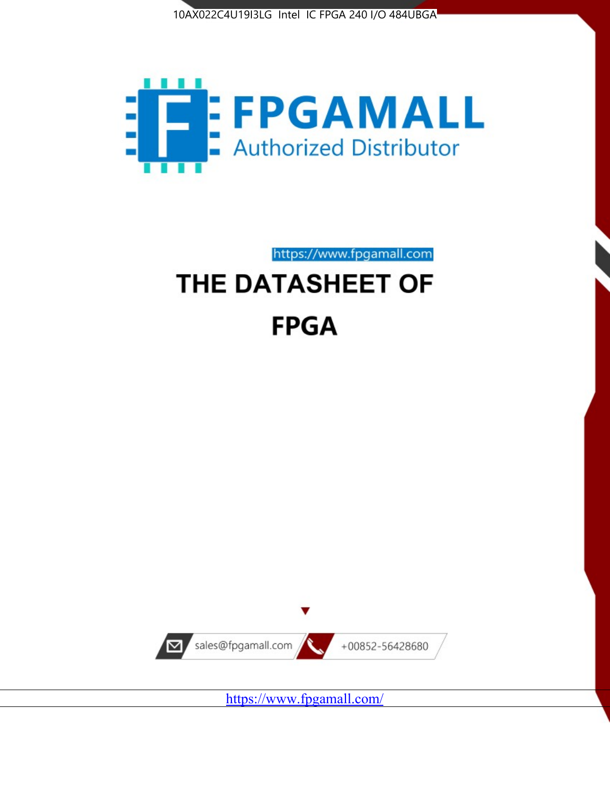



# https://www.fpgamall.com THE DATASHEET OF

# **FPGA**



<https://www.fpgamall.com/>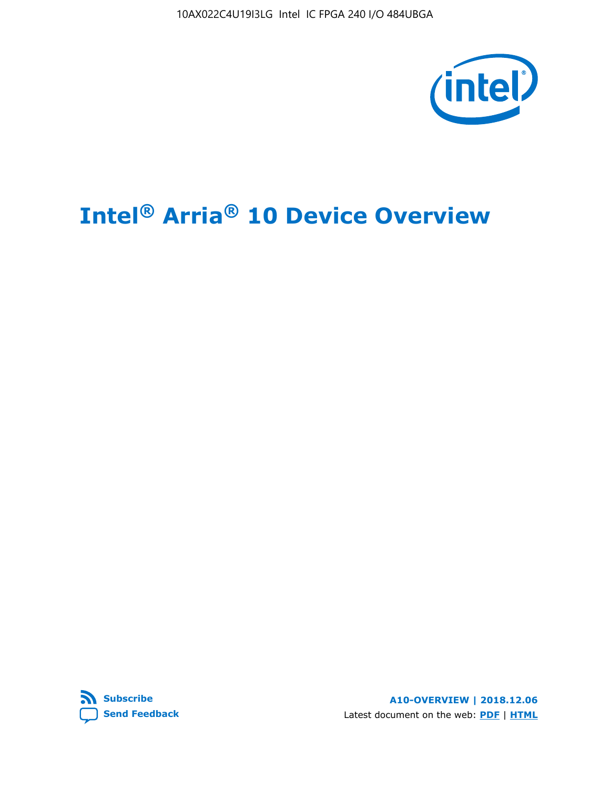10AX022C4U19I3LG Intel IC FPGA 240 I/O 484UBGA



# **Intel® Arria® 10 Device Overview**



**A10-OVERVIEW | 2018.12.06** Latest document on the web: **[PDF](https://www.intel.com/content/dam/www/programmable/us/en/pdfs/literature/hb/arria-10/a10_overview.pdf)** | **[HTML](https://www.intel.com/content/www/us/en/programmable/documentation/sam1403480274650.html)**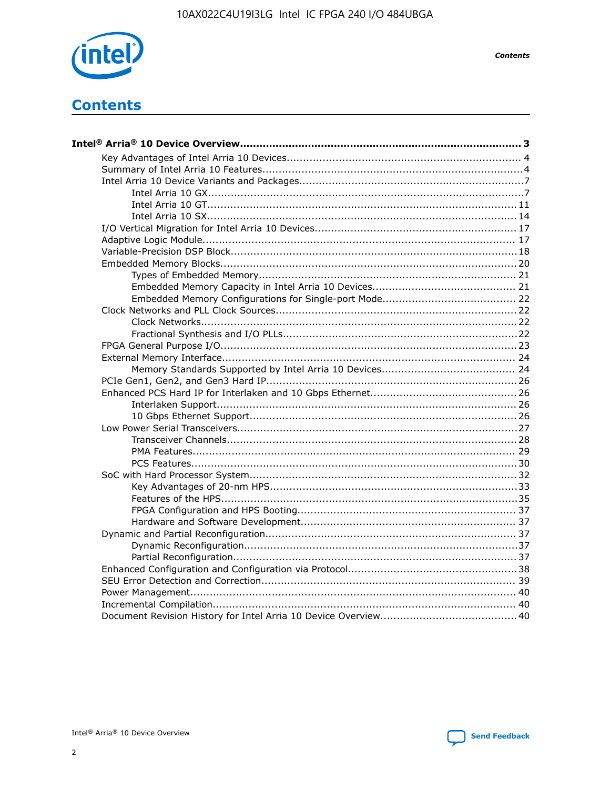

**Contents** 

# **Contents**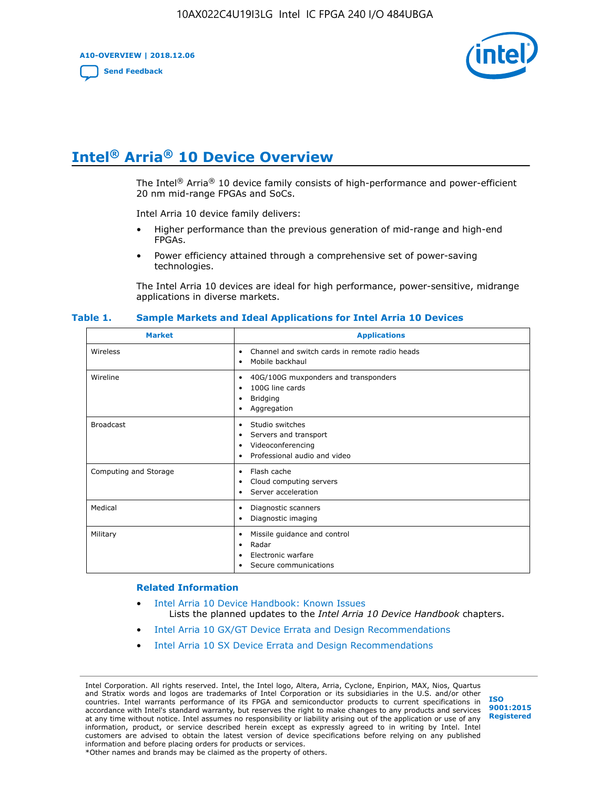**A10-OVERVIEW | 2018.12.06**

**[Send Feedback](mailto:FPGAtechdocfeedback@intel.com?subject=Feedback%20on%20Intel%20Arria%2010%20Device%20Overview%20(A10-OVERVIEW%202018.12.06)&body=We%20appreciate%20your%20feedback.%20In%20your%20comments,%20also%20specify%20the%20page%20number%20or%20paragraph.%20Thank%20you.)**



# **Intel® Arria® 10 Device Overview**

The Intel<sup>®</sup> Arria<sup>®</sup> 10 device family consists of high-performance and power-efficient 20 nm mid-range FPGAs and SoCs.

Intel Arria 10 device family delivers:

- Higher performance than the previous generation of mid-range and high-end FPGAs.
- Power efficiency attained through a comprehensive set of power-saving technologies.

The Intel Arria 10 devices are ideal for high performance, power-sensitive, midrange applications in diverse markets.

| <b>Market</b>         | <b>Applications</b>                                                                                               |
|-----------------------|-------------------------------------------------------------------------------------------------------------------|
| Wireless              | Channel and switch cards in remote radio heads<br>٠<br>Mobile backhaul<br>٠                                       |
| Wireline              | 40G/100G muxponders and transponders<br>٠<br>100G line cards<br>٠<br><b>Bridging</b><br>٠<br>Aggregation<br>٠     |
| <b>Broadcast</b>      | Studio switches<br>٠<br>Servers and transport<br>٠<br>Videoconferencing<br>٠<br>Professional audio and video<br>٠ |
| Computing and Storage | Flash cache<br>٠<br>Cloud computing servers<br>٠<br>Server acceleration<br>٠                                      |
| Medical               | Diagnostic scanners<br>٠<br>Diagnostic imaging<br>٠                                                               |
| Military              | Missile guidance and control<br>٠<br>Radar<br>٠<br>Electronic warfare<br>٠<br>Secure communications<br>٠          |

#### **Table 1. Sample Markets and Ideal Applications for Intel Arria 10 Devices**

#### **Related Information**

- [Intel Arria 10 Device Handbook: Known Issues](http://www.altera.com/support/kdb/solutions/rd07302013_646.html) Lists the planned updates to the *Intel Arria 10 Device Handbook* chapters.
- [Intel Arria 10 GX/GT Device Errata and Design Recommendations](https://www.intel.com/content/www/us/en/programmable/documentation/agz1493851706374.html#yqz1494433888646)
- [Intel Arria 10 SX Device Errata and Design Recommendations](https://www.intel.com/content/www/us/en/programmable/documentation/cru1462832385668.html#cru1462832558642)

Intel Corporation. All rights reserved. Intel, the Intel logo, Altera, Arria, Cyclone, Enpirion, MAX, Nios, Quartus and Stratix words and logos are trademarks of Intel Corporation or its subsidiaries in the U.S. and/or other countries. Intel warrants performance of its FPGA and semiconductor products to current specifications in accordance with Intel's standard warranty, but reserves the right to make changes to any products and services at any time without notice. Intel assumes no responsibility or liability arising out of the application or use of any information, product, or service described herein except as expressly agreed to in writing by Intel. Intel customers are advised to obtain the latest version of device specifications before relying on any published information and before placing orders for products or services. \*Other names and brands may be claimed as the property of others.

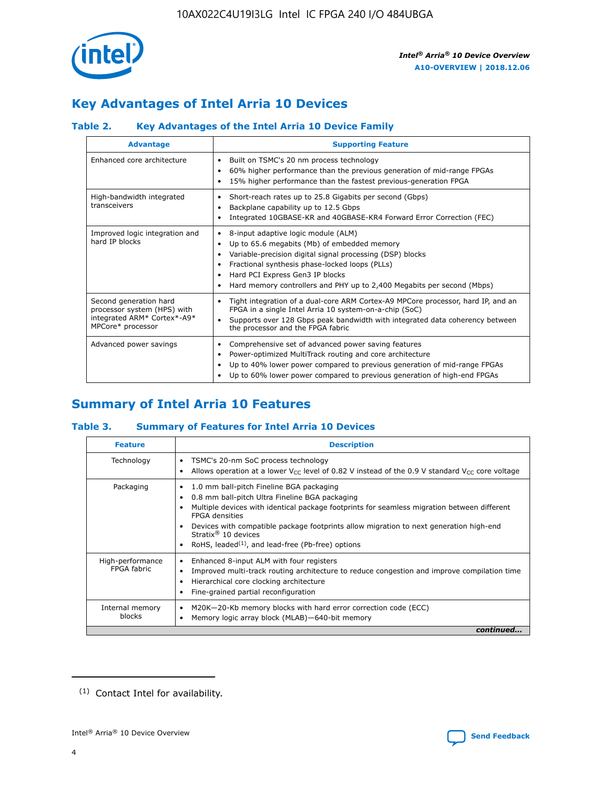

# **Key Advantages of Intel Arria 10 Devices**

# **Table 2. Key Advantages of the Intel Arria 10 Device Family**

| <b>Advantage</b>                                                                                          | <b>Supporting Feature</b>                                                                                                                                                                                                                                                                                                |
|-----------------------------------------------------------------------------------------------------------|--------------------------------------------------------------------------------------------------------------------------------------------------------------------------------------------------------------------------------------------------------------------------------------------------------------------------|
| Enhanced core architecture                                                                                | Built on TSMC's 20 nm process technology<br>٠<br>60% higher performance than the previous generation of mid-range FPGAs<br>٠<br>15% higher performance than the fastest previous-generation FPGA<br>٠                                                                                                                    |
| High-bandwidth integrated<br>transceivers                                                                 | Short-reach rates up to 25.8 Gigabits per second (Gbps)<br>٠<br>Backplane capability up to 12.5 Gbps<br>٠<br>Integrated 10GBASE-KR and 40GBASE-KR4 Forward Error Correction (FEC)<br>٠                                                                                                                                   |
| Improved logic integration and<br>hard IP blocks                                                          | 8-input adaptive logic module (ALM)<br>٠<br>Up to 65.6 megabits (Mb) of embedded memory<br>٠<br>Variable-precision digital signal processing (DSP) blocks<br>Fractional synthesis phase-locked loops (PLLs)<br>Hard PCI Express Gen3 IP blocks<br>Hard memory controllers and PHY up to 2,400 Megabits per second (Mbps) |
| Second generation hard<br>processor system (HPS) with<br>integrated ARM* Cortex*-A9*<br>MPCore* processor | Tight integration of a dual-core ARM Cortex-A9 MPCore processor, hard IP, and an<br>٠<br>FPGA in a single Intel Arria 10 system-on-a-chip (SoC)<br>Supports over 128 Gbps peak bandwidth with integrated data coherency between<br>$\bullet$<br>the processor and the FPGA fabric                                        |
| Advanced power savings                                                                                    | Comprehensive set of advanced power saving features<br>٠<br>Power-optimized MultiTrack routing and core architecture<br>٠<br>Up to 40% lower power compared to previous generation of mid-range FPGAs<br>٠<br>Up to 60% lower power compared to previous generation of high-end FPGAs<br>٠                               |

# **Summary of Intel Arria 10 Features**

#### **Table 3. Summary of Features for Intel Arria 10 Devices**

| <b>Feature</b>                  | <b>Description</b>                                                                                                                                                                                                                                                                                                                                                                                           |
|---------------------------------|--------------------------------------------------------------------------------------------------------------------------------------------------------------------------------------------------------------------------------------------------------------------------------------------------------------------------------------------------------------------------------------------------------------|
| Technology                      | TSMC's 20-nm SoC process technology<br>٠<br>Allows operation at a lower $V_{CC}$ level of 0.82 V instead of the 0.9 V standard $V_{CC}$ core voltage                                                                                                                                                                                                                                                         |
| Packaging                       | 1.0 mm ball-pitch Fineline BGA packaging<br>٠<br>0.8 mm ball-pitch Ultra Fineline BGA packaging<br>Multiple devices with identical package footprints for seamless migration between different<br><b>FPGA</b> densities<br>Devices with compatible package footprints allow migration to next generation high-end<br>Stratix <sup>®</sup> 10 devices<br>RoHS, leaded $(1)$ , and lead-free (Pb-free) options |
| High-performance<br>FPGA fabric | Enhanced 8-input ALM with four registers<br>Improved multi-track routing architecture to reduce congestion and improve compilation time<br>Hierarchical core clocking architecture<br>Fine-grained partial reconfiguration                                                                                                                                                                                   |
| Internal memory<br>blocks       | M20K-20-Kb memory blocks with hard error correction code (ECC)<br>٠<br>Memory logic array block (MLAB)-640-bit memory                                                                                                                                                                                                                                                                                        |
|                                 | continued                                                                                                                                                                                                                                                                                                                                                                                                    |



<sup>(1)</sup> Contact Intel for availability.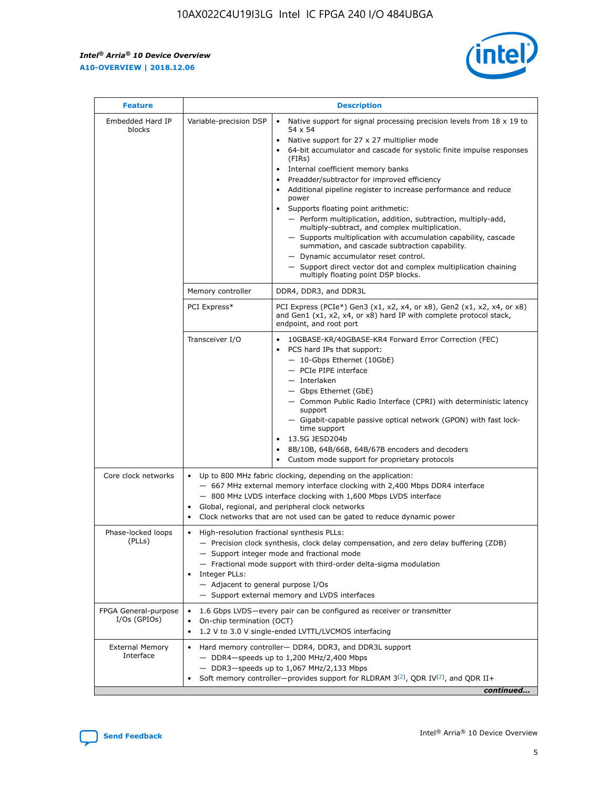$\mathsf{r}$ 



| <b>Feature</b>                         |                                                                                                                | <b>Description</b>                                                                                                                                                                                                                                                                                                                                                                                                                                                                                                                                                                                                                                                                                                                                                                                                                          |
|----------------------------------------|----------------------------------------------------------------------------------------------------------------|---------------------------------------------------------------------------------------------------------------------------------------------------------------------------------------------------------------------------------------------------------------------------------------------------------------------------------------------------------------------------------------------------------------------------------------------------------------------------------------------------------------------------------------------------------------------------------------------------------------------------------------------------------------------------------------------------------------------------------------------------------------------------------------------------------------------------------------------|
| Embedded Hard IP<br>blocks             | Variable-precision DSP                                                                                         | Native support for signal processing precision levels from $18 \times 19$ to<br>$\bullet$<br>54 x 54<br>Native support for 27 x 27 multiplier mode<br>64-bit accumulator and cascade for systolic finite impulse responses<br>(FIRS)<br>Internal coefficient memory banks<br>٠<br>Preadder/subtractor for improved efficiency<br>Additional pipeline register to increase performance and reduce<br>power<br>Supports floating point arithmetic:<br>- Perform multiplication, addition, subtraction, multiply-add,<br>multiply-subtract, and complex multiplication.<br>- Supports multiplication with accumulation capability, cascade<br>summation, and cascade subtraction capability.<br>- Dynamic accumulator reset control.<br>- Support direct vector dot and complex multiplication chaining<br>multiply floating point DSP blocks. |
|                                        | Memory controller                                                                                              | DDR4, DDR3, and DDR3L                                                                                                                                                                                                                                                                                                                                                                                                                                                                                                                                                                                                                                                                                                                                                                                                                       |
|                                        | PCI Express*                                                                                                   | PCI Express (PCIe*) Gen3 (x1, x2, x4, or x8), Gen2 (x1, x2, x4, or x8)<br>and Gen1 (x1, x2, x4, or x8) hard IP with complete protocol stack,<br>endpoint, and root port                                                                                                                                                                                                                                                                                                                                                                                                                                                                                                                                                                                                                                                                     |
|                                        | Transceiver I/O                                                                                                | 10GBASE-KR/40GBASE-KR4 Forward Error Correction (FEC)<br>PCS hard IPs that support:<br>- 10-Gbps Ethernet (10GbE)<br>- PCIe PIPE interface<br>- Interlaken<br>- Gbps Ethernet (GbE)<br>- Common Public Radio Interface (CPRI) with deterministic latency<br>support<br>- Gigabit-capable passive optical network (GPON) with fast lock-<br>time support<br>13.5G JESD204b<br>8B/10B, 64B/66B, 64B/67B encoders and decoders<br>Custom mode support for proprietary protocols                                                                                                                                                                                                                                                                                                                                                                |
| Core clock networks                    | $\bullet$                                                                                                      | Up to 800 MHz fabric clocking, depending on the application:<br>- 667 MHz external memory interface clocking with 2,400 Mbps DDR4 interface<br>- 800 MHz LVDS interface clocking with 1,600 Mbps LVDS interface<br>Global, regional, and peripheral clock networks<br>Clock networks that are not used can be gated to reduce dynamic power                                                                                                                                                                                                                                                                                                                                                                                                                                                                                                 |
| Phase-locked loops<br>(PLLs)           | High-resolution fractional synthesis PLLs:<br>$\bullet$<br>Integer PLLs:<br>- Adjacent to general purpose I/Os | - Precision clock synthesis, clock delay compensation, and zero delay buffering (ZDB)<br>- Support integer mode and fractional mode<br>- Fractional mode support with third-order delta-sigma modulation<br>- Support external memory and LVDS interfaces                                                                                                                                                                                                                                                                                                                                                                                                                                                                                                                                                                                   |
| FPGA General-purpose<br>$I/Os$ (GPIOs) | On-chip termination (OCT)<br>$\bullet$                                                                         | 1.6 Gbps LVDS-every pair can be configured as receiver or transmitter<br>1.2 V to 3.0 V single-ended LVTTL/LVCMOS interfacing                                                                                                                                                                                                                                                                                                                                                                                                                                                                                                                                                                                                                                                                                                               |
| <b>External Memory</b><br>Interface    |                                                                                                                | Hard memory controller- DDR4, DDR3, and DDR3L support<br>$-$ DDR4-speeds up to 1,200 MHz/2,400 Mbps<br>- DDR3-speeds up to 1,067 MHz/2,133 Mbps<br>Soft memory controller—provides support for RLDRAM $3^{(2)}$ , QDR IV $(2)$ , and QDR II+<br>continued                                                                                                                                                                                                                                                                                                                                                                                                                                                                                                                                                                                   |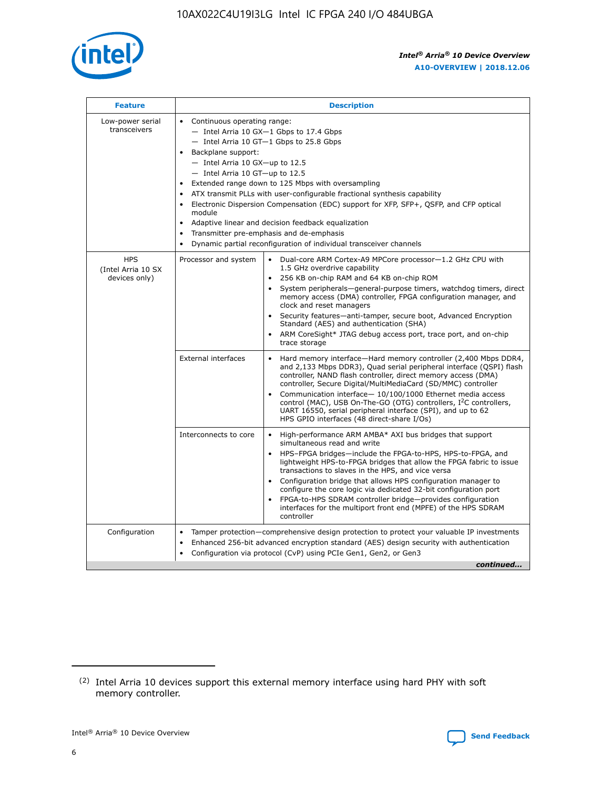

| <b>Feature</b>                                    | <b>Description</b>                                                                                                                                                                                                                                                                                                                                                                                                                                                                                                                                                                                                                                  |
|---------------------------------------------------|-----------------------------------------------------------------------------------------------------------------------------------------------------------------------------------------------------------------------------------------------------------------------------------------------------------------------------------------------------------------------------------------------------------------------------------------------------------------------------------------------------------------------------------------------------------------------------------------------------------------------------------------------------|
| Low-power serial<br>transceivers                  | • Continuous operating range:<br>- Intel Arria 10 GX-1 Gbps to 17.4 Gbps<br>- Intel Arria 10 GT-1 Gbps to 25.8 Gbps<br>Backplane support:<br>- Intel Arria 10 GX-up to 12.5<br>- Intel Arria 10 GT-up to 12.5<br>Extended range down to 125 Mbps with oversampling<br>ATX transmit PLLs with user-configurable fractional synthesis capability<br>Electronic Dispersion Compensation (EDC) support for XFP, SFP+, QSFP, and CFP optical<br>module<br>Adaptive linear and decision feedback equalization<br>$\bullet$<br>Transmitter pre-emphasis and de-emphasis<br>$\bullet$<br>Dynamic partial reconfiguration of individual transceiver channels |
| <b>HPS</b><br>(Intel Arria 10 SX<br>devices only) | Dual-core ARM Cortex-A9 MPCore processor-1.2 GHz CPU with<br>Processor and system<br>$\bullet$<br>1.5 GHz overdrive capability<br>256 KB on-chip RAM and 64 KB on-chip ROM<br>System peripherals—general-purpose timers, watchdog timers, direct<br>memory access (DMA) controller, FPGA configuration manager, and<br>clock and reset managers<br>Security features-anti-tamper, secure boot, Advanced Encryption<br>Standard (AES) and authentication (SHA)<br>ARM CoreSight* JTAG debug access port, trace port, and on-chip<br>trace storage                                                                                                    |
|                                                   | <b>External interfaces</b><br>Hard memory interface-Hard memory controller (2,400 Mbps DDR4,<br>$\bullet$<br>and 2,133 Mbps DDR3), Quad serial peripheral interface (QSPI) flash<br>controller, NAND flash controller, direct memory access (DMA)<br>controller, Secure Digital/MultiMediaCard (SD/MMC) controller<br>Communication interface-10/100/1000 Ethernet media access<br>control (MAC), USB On-The-GO (OTG) controllers, I <sup>2</sup> C controllers,<br>UART 16550, serial peripheral interface (SPI), and up to 62<br>HPS GPIO interfaces (48 direct-share I/Os)                                                                       |
|                                                   | High-performance ARM AMBA* AXI bus bridges that support<br>Interconnects to core<br>$\bullet$<br>simultaneous read and write<br>HPS-FPGA bridges-include the FPGA-to-HPS, HPS-to-FPGA, and<br>$\bullet$<br>lightweight HPS-to-FPGA bridges that allow the FPGA fabric to issue<br>transactions to slaves in the HPS, and vice versa<br>Configuration bridge that allows HPS configuration manager to<br>configure the core logic via dedicated 32-bit configuration port<br>FPGA-to-HPS SDRAM controller bridge-provides configuration<br>interfaces for the multiport front end (MPFE) of the HPS SDRAM<br>controller                              |
| Configuration                                     | Tamper protection—comprehensive design protection to protect your valuable IP investments<br>Enhanced 256-bit advanced encryption standard (AES) design security with authentication<br>٠<br>Configuration via protocol (CvP) using PCIe Gen1, Gen2, or Gen3<br>continued                                                                                                                                                                                                                                                                                                                                                                           |

<sup>(2)</sup> Intel Arria 10 devices support this external memory interface using hard PHY with soft memory controller.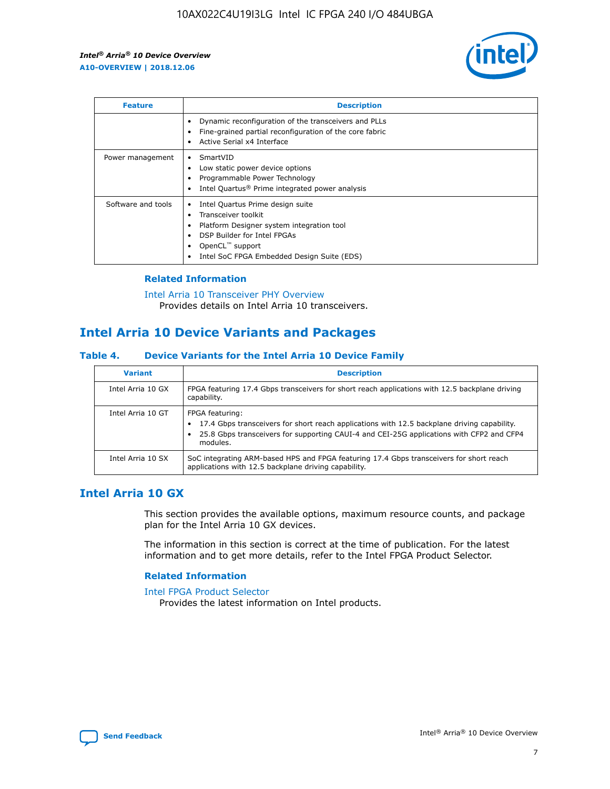

| <b>Feature</b>     | <b>Description</b>                                                                                                                                                                                               |
|--------------------|------------------------------------------------------------------------------------------------------------------------------------------------------------------------------------------------------------------|
|                    | Dynamic reconfiguration of the transceivers and PLLs<br>Fine-grained partial reconfiguration of the core fabric<br>Active Serial x4 Interface<br>$\bullet$                                                       |
| Power management   | SmartVID<br>Low static power device options<br>Programmable Power Technology<br>Intel Quartus <sup>®</sup> Prime integrated power analysis                                                                       |
| Software and tools | Intel Quartus Prime design suite<br>Transceiver toolkit<br>Platform Designer system integration tool<br>DSP Builder for Intel FPGAs<br>OpenCL <sup>™</sup> support<br>Intel SoC FPGA Embedded Design Suite (EDS) |

### **Related Information**

[Intel Arria 10 Transceiver PHY Overview](https://www.intel.com/content/www/us/en/programmable/documentation/nik1398707230472.html#nik1398706768037) Provides details on Intel Arria 10 transceivers.

# **Intel Arria 10 Device Variants and Packages**

#### **Table 4. Device Variants for the Intel Arria 10 Device Family**

| <b>Variant</b>    | <b>Description</b>                                                                                                                                                                                                     |
|-------------------|------------------------------------------------------------------------------------------------------------------------------------------------------------------------------------------------------------------------|
| Intel Arria 10 GX | FPGA featuring 17.4 Gbps transceivers for short reach applications with 12.5 backplane driving<br>capability.                                                                                                          |
| Intel Arria 10 GT | FPGA featuring:<br>17.4 Gbps transceivers for short reach applications with 12.5 backplane driving capability.<br>25.8 Gbps transceivers for supporting CAUI-4 and CEI-25G applications with CFP2 and CFP4<br>modules. |
| Intel Arria 10 SX | SoC integrating ARM-based HPS and FPGA featuring 17.4 Gbps transceivers for short reach<br>applications with 12.5 backplane driving capability.                                                                        |

# **Intel Arria 10 GX**

This section provides the available options, maximum resource counts, and package plan for the Intel Arria 10 GX devices.

The information in this section is correct at the time of publication. For the latest information and to get more details, refer to the Intel FPGA Product Selector.

#### **Related Information**

#### [Intel FPGA Product Selector](http://www.altera.com/products/selector/psg-selector.html) Provides the latest information on Intel products.

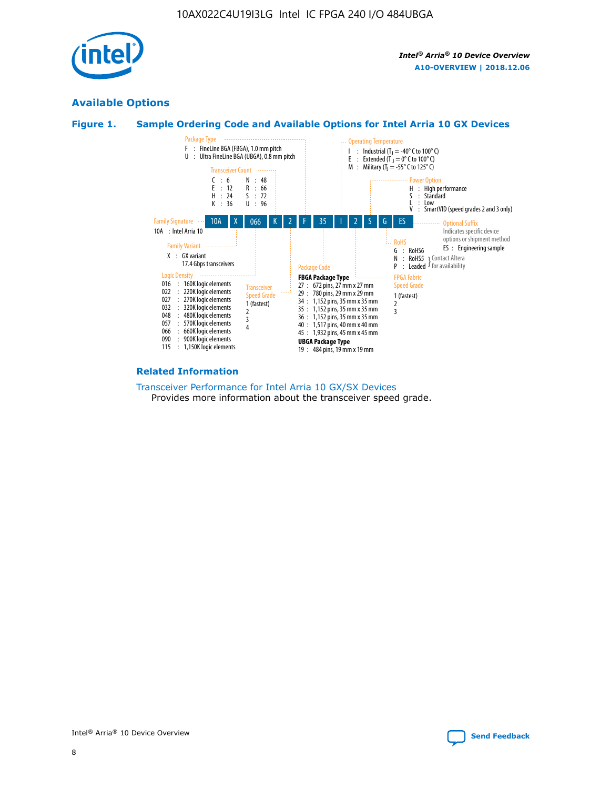

# **Available Options**





#### **Related Information**

[Transceiver Performance for Intel Arria 10 GX/SX Devices](https://www.intel.com/content/www/us/en/programmable/documentation/mcn1413182292568.html#mcn1413213965502) Provides more information about the transceiver speed grade.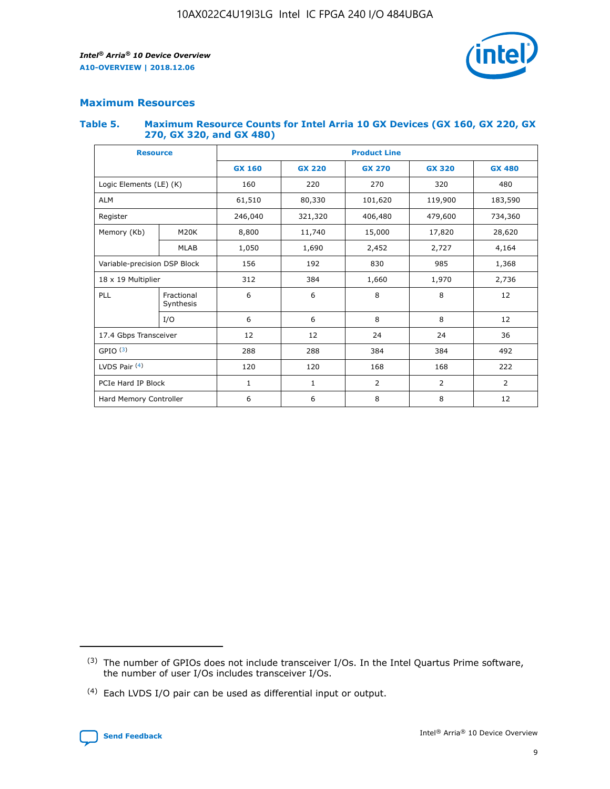

# **Maximum Resources**

#### **Table 5. Maximum Resource Counts for Intel Arria 10 GX Devices (GX 160, GX 220, GX 270, GX 320, and GX 480)**

| <b>Resource</b>         |                                                          | <b>Product Line</b> |                                                 |                |                |                |  |  |  |
|-------------------------|----------------------------------------------------------|---------------------|-------------------------------------------------|----------------|----------------|----------------|--|--|--|
|                         |                                                          | <b>GX 160</b>       | <b>GX 220</b><br><b>GX 270</b><br><b>GX 320</b> |                |                | <b>GX 480</b>  |  |  |  |
| Logic Elements (LE) (K) |                                                          | 160                 | 220                                             | 270            | 320            | 480            |  |  |  |
| <b>ALM</b>              |                                                          | 61,510              | 80,330                                          | 101,620        | 119,900        | 183,590        |  |  |  |
| Register                |                                                          | 246,040             | 321,320                                         | 406,480        | 479,600        | 734,360        |  |  |  |
| Memory (Kb)             | M <sub>20</sub> K                                        | 8,800               | 11,740                                          | 15,000         | 17,820         | 28,620         |  |  |  |
|                         | <b>MLAB</b>                                              | 1,050               | 1,690                                           | 2,452          | 2,727          | 4,164          |  |  |  |
|                         | Variable-precision DSP Block<br>156<br>192<br>830<br>985 |                     |                                                 |                | 1,368          |                |  |  |  |
| 18 x 19 Multiplier      |                                                          | 312                 | 384                                             | 1,970<br>1,660 |                | 2,736          |  |  |  |
| PLL                     | Fractional<br>Synthesis                                  | 6                   | 6                                               | 8              | 8              | 12             |  |  |  |
|                         | I/O                                                      | 6                   | 6                                               | 8              | 8              | 12             |  |  |  |
| 17.4 Gbps Transceiver   |                                                          | 12                  | 12                                              | 24             | 24             |                |  |  |  |
| GPIO <sup>(3)</sup>     |                                                          | 288                 | 288                                             | 384            | 384            | 492            |  |  |  |
| LVDS Pair $(4)$         |                                                          | 120                 | 120                                             | 168            | 168            | 222            |  |  |  |
| PCIe Hard IP Block      |                                                          | 1                   | 1                                               | 2              | $\overline{2}$ | $\overline{2}$ |  |  |  |
| Hard Memory Controller  |                                                          | 6                   | 6                                               | 8              | 8              | 12             |  |  |  |

<sup>(4)</sup> Each LVDS I/O pair can be used as differential input or output.



<sup>(3)</sup> The number of GPIOs does not include transceiver I/Os. In the Intel Quartus Prime software, the number of user I/Os includes transceiver I/Os.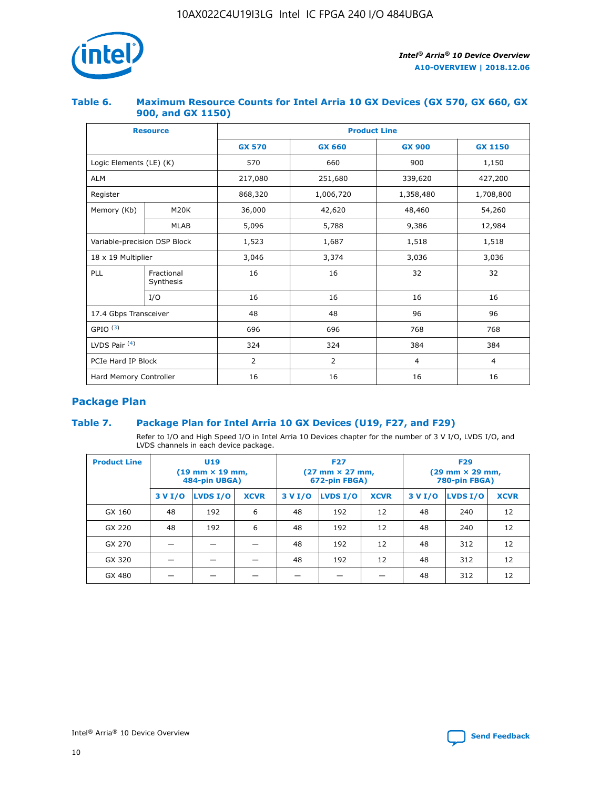

#### **Table 6. Maximum Resource Counts for Intel Arria 10 GX Devices (GX 570, GX 660, GX 900, and GX 1150)**

|                              | <b>Resource</b>         | <b>Product Line</b> |                                |                  |                |  |  |  |
|------------------------------|-------------------------|---------------------|--------------------------------|------------------|----------------|--|--|--|
|                              |                         | <b>GX 570</b>       | <b>GX 660</b><br><b>GX 900</b> |                  | <b>GX 1150</b> |  |  |  |
| Logic Elements (LE) (K)      |                         | 570                 | 660                            | 900              | 1,150          |  |  |  |
| <b>ALM</b>                   |                         | 217,080             | 251,680                        | 339,620          | 427,200        |  |  |  |
| Register                     |                         | 868,320             | 1,006,720                      | 1,358,480        | 1,708,800      |  |  |  |
| Memory (Kb)                  | <b>M20K</b>             | 36,000              | 42,620                         | 48,460<br>54,260 |                |  |  |  |
|                              | <b>MLAB</b>             | 5,096               | 5,788                          | 9,386            | 12,984         |  |  |  |
| Variable-precision DSP Block |                         | 1,523               | 1,687                          | 1,518            | 1,518          |  |  |  |
| $18 \times 19$ Multiplier    |                         | 3,046               | 3,374                          | 3,036            | 3,036          |  |  |  |
| PLL                          | Fractional<br>Synthesis | 16                  | 16                             | 32               | 32             |  |  |  |
|                              | I/O                     | 16                  | 16                             | 16               | 16             |  |  |  |
| 17.4 Gbps Transceiver        |                         | 48                  | 48                             | 96               | 96             |  |  |  |
| GPIO <sup>(3)</sup>          |                         | 696                 | 696                            | 768              | 768            |  |  |  |
| LVDS Pair $(4)$              |                         | 324                 | 324                            |                  | 384            |  |  |  |
| PCIe Hard IP Block           |                         | 2                   | $\overline{2}$                 | $\overline{4}$   | 4              |  |  |  |
| Hard Memory Controller       |                         | 16                  | 16                             | 16               | 16             |  |  |  |

# **Package Plan**

## **Table 7. Package Plan for Intel Arria 10 GX Devices (U19, F27, and F29)**

Refer to I/O and High Speed I/O in Intel Arria 10 Devices chapter for the number of 3 V I/O, LVDS I/O, and LVDS channels in each device package.

| <b>Product Line</b> | U <sub>19</sub><br>$(19 \text{ mm} \times 19 \text{ mm})$<br>484-pin UBGA) |          |             |         | <b>F27</b><br>(27 mm × 27 mm,<br>672-pin FBGA) |             | <b>F29</b><br>(29 mm × 29 mm,<br>780-pin FBGA) |          |             |  |
|---------------------|----------------------------------------------------------------------------|----------|-------------|---------|------------------------------------------------|-------------|------------------------------------------------|----------|-------------|--|
|                     | 3 V I/O                                                                    | LVDS I/O | <b>XCVR</b> | 3 V I/O | <b>LVDS I/O</b>                                | <b>XCVR</b> | 3 V I/O                                        | LVDS I/O | <b>XCVR</b> |  |
| GX 160              | 48                                                                         | 192      | 6           | 48      | 192                                            | 12          | 48                                             | 240      | 12          |  |
| GX 220              | 48                                                                         | 192      | 6           | 48      | 192                                            | 12          | 48                                             | 240      | 12          |  |
| GX 270              |                                                                            |          |             | 48      | 192                                            | 12          | 48                                             | 312      | 12          |  |
| GX 320              |                                                                            |          |             | 48      | 192                                            | 12          | 48                                             | 312      | 12          |  |
| GX 480              |                                                                            |          |             |         |                                                |             | 48                                             | 312      | 12          |  |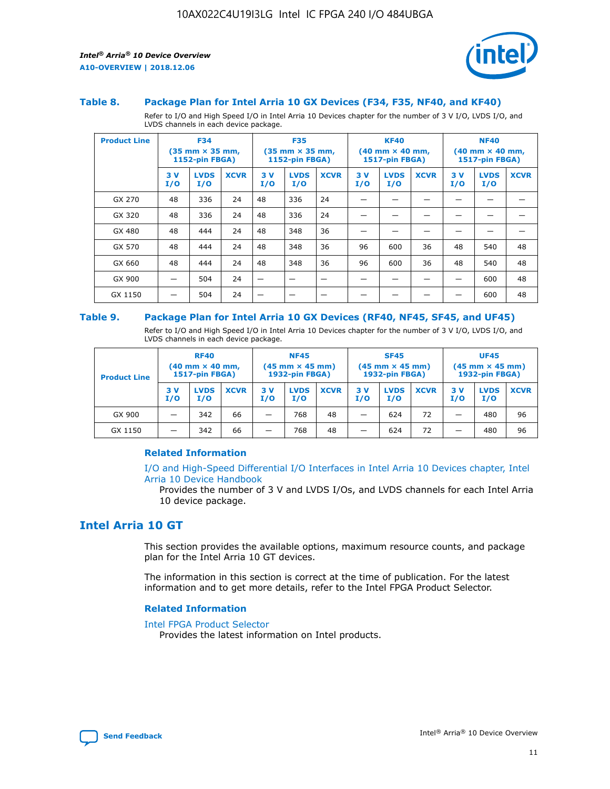

#### **Table 8. Package Plan for Intel Arria 10 GX Devices (F34, F35, NF40, and KF40)**

Refer to I/O and High Speed I/O in Intel Arria 10 Devices chapter for the number of 3 V I/O, LVDS I/O, and LVDS channels in each device package.

| <b>Product Line</b> | <b>F34</b><br>$(35 \text{ mm} \times 35 \text{ mm})$<br>1152-pin FBGA) |                    | <b>F35</b><br>$(35$ mm $\times$ 35 mm,<br>1152-pin FBGA) |           | <b>KF40</b><br>$(40$ mm $\times$ 40 mm,<br>1517-pin FBGA) |             |           | <b>NF40</b><br>$(40$ mm $\times$ 40 mm,<br><b>1517-pin FBGA)</b> |             |            |                    |             |
|---------------------|------------------------------------------------------------------------|--------------------|----------------------------------------------------------|-----------|-----------------------------------------------------------|-------------|-----------|------------------------------------------------------------------|-------------|------------|--------------------|-------------|
|                     | 3V<br>I/O                                                              | <b>LVDS</b><br>I/O | <b>XCVR</b>                                              | 3V<br>I/O | <b>LVDS</b><br>I/O                                        | <b>XCVR</b> | 3V<br>I/O | <b>LVDS</b><br>I/O                                               | <b>XCVR</b> | 3 V<br>I/O | <b>LVDS</b><br>I/O | <b>XCVR</b> |
| GX 270              | 48                                                                     | 336                | 24                                                       | 48        | 336                                                       | 24          |           |                                                                  |             |            |                    |             |
| GX 320              | 48                                                                     | 336                | 24                                                       | 48        | 336                                                       | 24          |           |                                                                  |             |            |                    |             |
| GX 480              | 48                                                                     | 444                | 24                                                       | 48        | 348                                                       | 36          |           |                                                                  |             |            |                    |             |
| GX 570              | 48                                                                     | 444                | 24                                                       | 48        | 348                                                       | 36          | 96        | 600                                                              | 36          | 48         | 540                | 48          |
| GX 660              | 48                                                                     | 444                | 24                                                       | 48        | 348                                                       | 36          | 96        | 600                                                              | 36          | 48         | 540                | 48          |
| GX 900              |                                                                        | 504                | 24                                                       | —         |                                                           | -           |           |                                                                  |             |            | 600                | 48          |
| GX 1150             |                                                                        | 504                | 24                                                       |           |                                                           |             |           |                                                                  |             |            | 600                | 48          |

#### **Table 9. Package Plan for Intel Arria 10 GX Devices (RF40, NF45, SF45, and UF45)**

Refer to I/O and High Speed I/O in Intel Arria 10 Devices chapter for the number of 3 V I/O, LVDS I/O, and LVDS channels in each device package.

| <b>Product Line</b> | <b>RF40</b><br>$(40$ mm $\times$ 40 mm,<br>1517-pin FBGA) |                    |             | <b>NF45</b><br>$(45 \text{ mm} \times 45 \text{ mm})$<br><b>1932-pin FBGA)</b> |                    |             | <b>SF45</b><br>$(45 \text{ mm} \times 45 \text{ mm})$<br><b>1932-pin FBGA)</b> |                    |             | <b>UF45</b><br>$(45 \text{ mm} \times 45 \text{ mm})$<br><b>1932-pin FBGA)</b> |                    |             |
|---------------------|-----------------------------------------------------------|--------------------|-------------|--------------------------------------------------------------------------------|--------------------|-------------|--------------------------------------------------------------------------------|--------------------|-------------|--------------------------------------------------------------------------------|--------------------|-------------|
|                     | 3V<br>I/O                                                 | <b>LVDS</b><br>I/O | <b>XCVR</b> | 3 V<br>I/O                                                                     | <b>LVDS</b><br>I/O | <b>XCVR</b> | 3 V<br>I/O                                                                     | <b>LVDS</b><br>I/O | <b>XCVR</b> | 3V<br>I/O                                                                      | <b>LVDS</b><br>I/O | <b>XCVR</b> |
| GX 900              |                                                           | 342                | 66          | _                                                                              | 768                | 48          |                                                                                | 624                | 72          |                                                                                | 480                | 96          |
| GX 1150             |                                                           | 342                | 66          | _                                                                              | 768                | 48          |                                                                                | 624                | 72          |                                                                                | 480                | 96          |

#### **Related Information**

[I/O and High-Speed Differential I/O Interfaces in Intel Arria 10 Devices chapter, Intel](https://www.intel.com/content/www/us/en/programmable/documentation/sam1403482614086.html#sam1403482030321) [Arria 10 Device Handbook](https://www.intel.com/content/www/us/en/programmable/documentation/sam1403482614086.html#sam1403482030321)

Provides the number of 3 V and LVDS I/Os, and LVDS channels for each Intel Arria 10 device package.

# **Intel Arria 10 GT**

This section provides the available options, maximum resource counts, and package plan for the Intel Arria 10 GT devices.

The information in this section is correct at the time of publication. For the latest information and to get more details, refer to the Intel FPGA Product Selector.

#### **Related Information**

#### [Intel FPGA Product Selector](http://www.altera.com/products/selector/psg-selector.html)

Provides the latest information on Intel products.

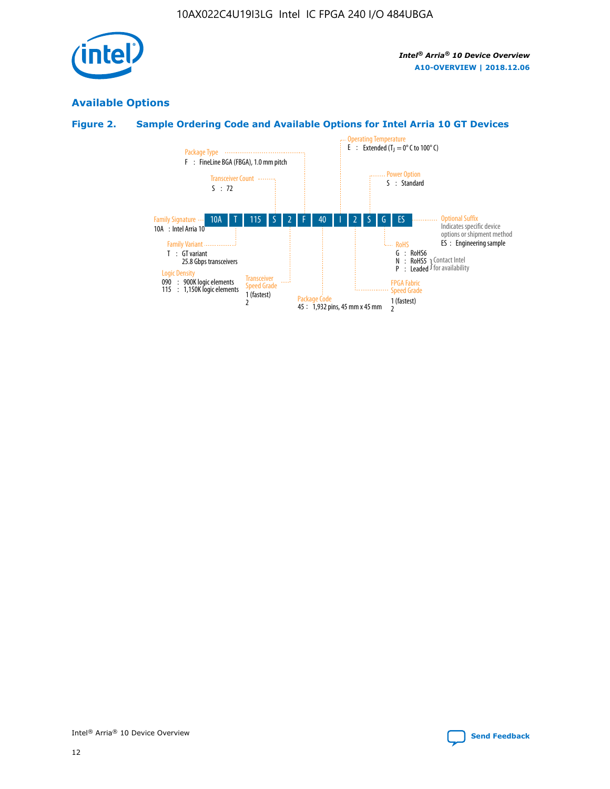

# **Available Options**

# **Figure 2. Sample Ordering Code and Available Options for Intel Arria 10 GT Devices**

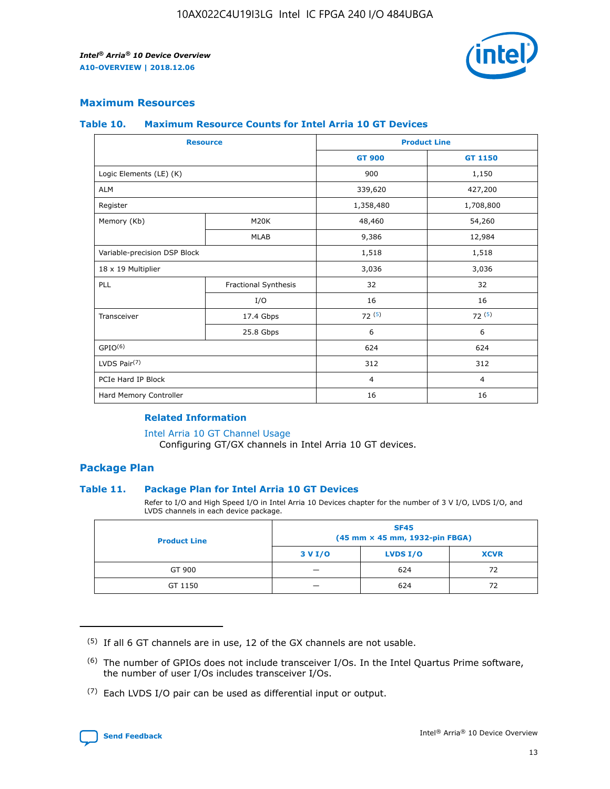

### **Maximum Resources**

#### **Table 10. Maximum Resource Counts for Intel Arria 10 GT Devices**

| <b>Resource</b>              |                      | <b>Product Line</b> |                |  |
|------------------------------|----------------------|---------------------|----------------|--|
|                              |                      | <b>GT 900</b>       | GT 1150        |  |
| Logic Elements (LE) (K)      |                      | 900                 | 1,150          |  |
| <b>ALM</b>                   |                      | 339,620             | 427,200        |  |
| Register                     |                      | 1,358,480           | 1,708,800      |  |
| Memory (Kb)                  | M <sub>20</sub> K    | 48,460              | 54,260         |  |
|                              | <b>MLAB</b>          | 9,386               | 12,984         |  |
| Variable-precision DSP Block |                      | 1,518               | 1,518          |  |
| 18 x 19 Multiplier           |                      | 3,036               | 3,036          |  |
| PLL                          | Fractional Synthesis | 32                  | 32             |  |
|                              | I/O                  | 16                  | 16             |  |
| Transceiver                  | 17.4 Gbps            | 72(5)               | 72(5)          |  |
|                              | 25.8 Gbps            | 6                   | 6              |  |
| GPIO <sup>(6)</sup>          |                      | 624                 | 624            |  |
| LVDS Pair $(7)$              |                      | 312                 | 312            |  |
| PCIe Hard IP Block           |                      | $\overline{4}$      | $\overline{4}$ |  |
| Hard Memory Controller       |                      | 16                  | 16             |  |

#### **Related Information**

#### [Intel Arria 10 GT Channel Usage](https://www.intel.com/content/www/us/en/programmable/documentation/nik1398707230472.html#nik1398707008178)

Configuring GT/GX channels in Intel Arria 10 GT devices.

### **Package Plan**

#### **Table 11. Package Plan for Intel Arria 10 GT Devices**

Refer to I/O and High Speed I/O in Intel Arria 10 Devices chapter for the number of 3 V I/O, LVDS I/O, and LVDS channels in each device package.

| <b>Product Line</b> | <b>SF45</b><br>(45 mm × 45 mm, 1932-pin FBGA) |                 |             |  |  |  |
|---------------------|-----------------------------------------------|-----------------|-------------|--|--|--|
|                     | 3 V I/O                                       | <b>LVDS I/O</b> | <b>XCVR</b> |  |  |  |
| GT 900              |                                               | 624             | 72          |  |  |  |
| GT 1150             |                                               | 624             | 72          |  |  |  |

<sup>(7)</sup> Each LVDS I/O pair can be used as differential input or output.



 $(5)$  If all 6 GT channels are in use, 12 of the GX channels are not usable.

<sup>(6)</sup> The number of GPIOs does not include transceiver I/Os. In the Intel Quartus Prime software, the number of user I/Os includes transceiver I/Os.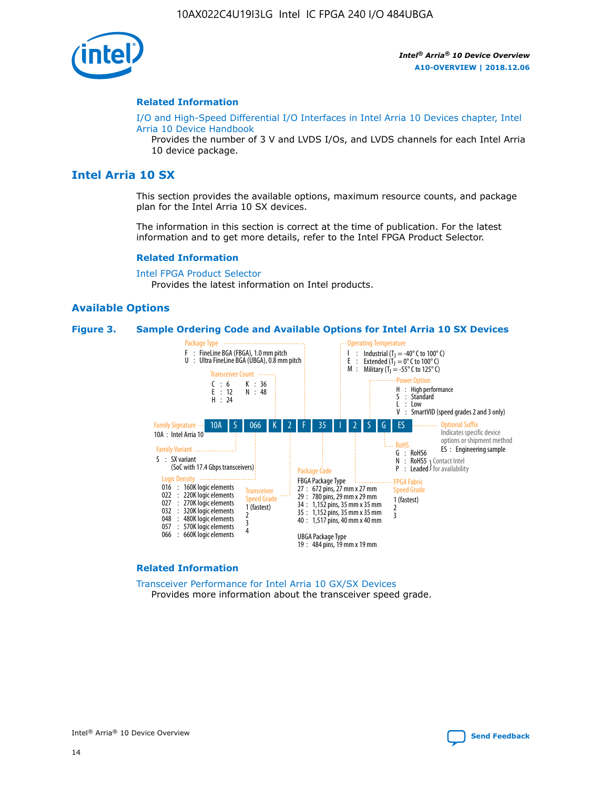

#### **Related Information**

[I/O and High-Speed Differential I/O Interfaces in Intel Arria 10 Devices chapter, Intel](https://www.intel.com/content/www/us/en/programmable/documentation/sam1403482614086.html#sam1403482030321) [Arria 10 Device Handbook](https://www.intel.com/content/www/us/en/programmable/documentation/sam1403482614086.html#sam1403482030321)

Provides the number of 3 V and LVDS I/Os, and LVDS channels for each Intel Arria 10 device package.

# **Intel Arria 10 SX**

This section provides the available options, maximum resource counts, and package plan for the Intel Arria 10 SX devices.

The information in this section is correct at the time of publication. For the latest information and to get more details, refer to the Intel FPGA Product Selector.

#### **Related Information**

[Intel FPGA Product Selector](http://www.altera.com/products/selector/psg-selector.html) Provides the latest information on Intel products.

#### **Available Options**

#### **Figure 3. Sample Ordering Code and Available Options for Intel Arria 10 SX Devices**



#### **Related Information**

[Transceiver Performance for Intel Arria 10 GX/SX Devices](https://www.intel.com/content/www/us/en/programmable/documentation/mcn1413182292568.html#mcn1413213965502) Provides more information about the transceiver speed grade.

Intel® Arria® 10 Device Overview **[Send Feedback](mailto:FPGAtechdocfeedback@intel.com?subject=Feedback%20on%20Intel%20Arria%2010%20Device%20Overview%20(A10-OVERVIEW%202018.12.06)&body=We%20appreciate%20your%20feedback.%20In%20your%20comments,%20also%20specify%20the%20page%20number%20or%20paragraph.%20Thank%20you.)**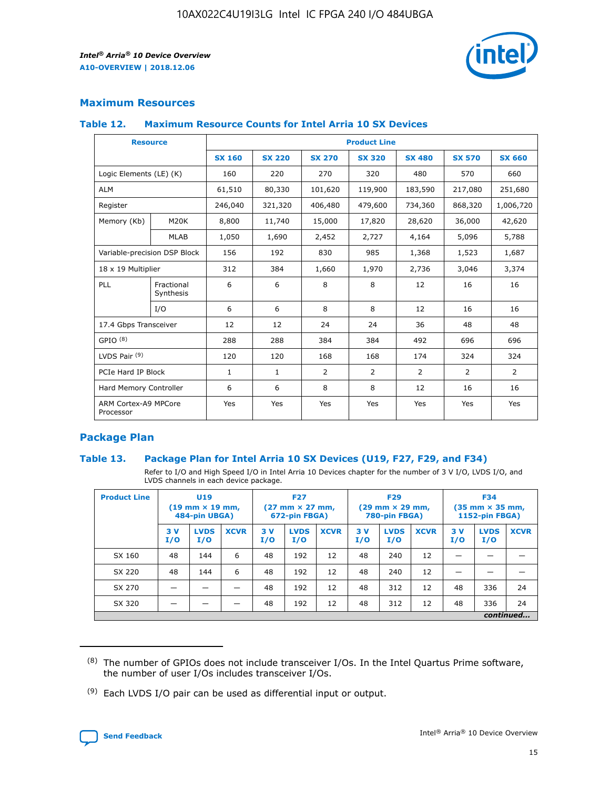

## **Maximum Resources**

#### **Table 12. Maximum Resource Counts for Intel Arria 10 SX Devices**

|                                   | <b>Resource</b>         | <b>Product Line</b> |               |                |                |                |                |                |  |  |  |
|-----------------------------------|-------------------------|---------------------|---------------|----------------|----------------|----------------|----------------|----------------|--|--|--|
|                                   |                         | <b>SX 160</b>       | <b>SX 220</b> | <b>SX 270</b>  | <b>SX 320</b>  | <b>SX 480</b>  | <b>SX 570</b>  | <b>SX 660</b>  |  |  |  |
| Logic Elements (LE) (K)           |                         | 160                 | 220           | 270            | 320            | 480            | 570            | 660            |  |  |  |
| <b>ALM</b>                        |                         | 61,510              | 80,330        | 101,620        | 119,900        | 183,590        | 217,080        | 251,680        |  |  |  |
| Register                          |                         | 246,040             | 321,320       | 406,480        | 479,600        | 734,360        | 868,320        | 1,006,720      |  |  |  |
| Memory (Kb)                       | <b>M20K</b>             | 8,800               | 11,740        | 15,000         | 17,820         | 28,620         | 36,000         | 42,620         |  |  |  |
|                                   | <b>MLAB</b>             | 1,050               | 1,690         | 2,452          | 2,727          | 4,164          | 5,096          | 5,788          |  |  |  |
| Variable-precision DSP Block      |                         | 156                 | 192           | 830            | 985            | 1,368          | 1,523          | 1,687          |  |  |  |
| 18 x 19 Multiplier                |                         | 312                 | 384           | 1,660          | 1,970          | 2,736          | 3,046          | 3,374          |  |  |  |
| <b>PLL</b>                        | Fractional<br>Synthesis | 6                   | 6             | 8              | 8              | 12             | 16             | 16             |  |  |  |
|                                   | I/O                     | 6                   | 6             | 8              | 8              | 12             | 16             | 16             |  |  |  |
| 17.4 Gbps Transceiver             |                         | 12                  | 12            | 24             | 24             | 36             | 48             | 48             |  |  |  |
| GPIO <sup>(8)</sup>               |                         | 288                 | 288           | 384            | 384            | 492            | 696            | 696            |  |  |  |
| LVDS Pair $(9)$                   |                         | 120                 | 120           | 168            | 168            | 174            | 324            | 324            |  |  |  |
| PCIe Hard IP Block                |                         | $\mathbf{1}$        | $\mathbf{1}$  | $\overline{2}$ | $\overline{2}$ | $\overline{2}$ | $\overline{2}$ | $\overline{2}$ |  |  |  |
| Hard Memory Controller            |                         | 6                   | 6             | 8              | 8              | 12             | 16             | 16             |  |  |  |
| ARM Cortex-A9 MPCore<br>Processor |                         | Yes                 | Yes           | Yes            | Yes            | Yes            | Yes            | Yes            |  |  |  |

## **Package Plan**

#### **Table 13. Package Plan for Intel Arria 10 SX Devices (U19, F27, F29, and F34)**

Refer to I/O and High Speed I/O in Intel Arria 10 Devices chapter for the number of 3 V I/O, LVDS I/O, and LVDS channels in each device package.

| <b>Product Line</b> | <b>U19</b><br>$(19 \text{ mm} \times 19 \text{ mm})$<br>484-pin UBGA) |                    |             | <b>F27</b><br>$(27 \text{ mm} \times 27 \text{ mm})$<br>672-pin FBGA) |                    | <b>F29</b><br>$(29 \text{ mm} \times 29 \text{ mm})$<br>780-pin FBGA) |           |                    | <b>F34</b><br>$(35 \text{ mm} \times 35 \text{ mm})$<br><b>1152-pin FBGA)</b> |           |                    |             |
|---------------------|-----------------------------------------------------------------------|--------------------|-------------|-----------------------------------------------------------------------|--------------------|-----------------------------------------------------------------------|-----------|--------------------|-------------------------------------------------------------------------------|-----------|--------------------|-------------|
|                     | 3V<br>I/O                                                             | <b>LVDS</b><br>I/O | <b>XCVR</b> | 3V<br>I/O                                                             | <b>LVDS</b><br>I/O | <b>XCVR</b>                                                           | 3V<br>I/O | <b>LVDS</b><br>I/O | <b>XCVR</b>                                                                   | 3V<br>I/O | <b>LVDS</b><br>I/O | <b>XCVR</b> |
| SX 160              | 48                                                                    | 144                | 6           | 48                                                                    | 192                | 12                                                                    | 48        | 240                | 12                                                                            | -         |                    |             |
| SX 220              | 48                                                                    | 144                | 6           | 48                                                                    | 192                | 12                                                                    | 48        | 240                | 12                                                                            |           |                    |             |
| SX 270              |                                                                       |                    |             | 48                                                                    | 192                | 12                                                                    | 48        | 312                | 12                                                                            | 48        | 336                | 24          |
| SX 320              |                                                                       |                    |             | 48                                                                    | 192                | 12                                                                    | 48        | 312                | 12                                                                            | 48        | 336                | 24          |
|                     | continued                                                             |                    |             |                                                                       |                    |                                                                       |           |                    |                                                                               |           |                    |             |

 $(8)$  The number of GPIOs does not include transceiver I/Os. In the Intel Quartus Prime software, the number of user I/Os includes transceiver I/Os.

 $(9)$  Each LVDS I/O pair can be used as differential input or output.

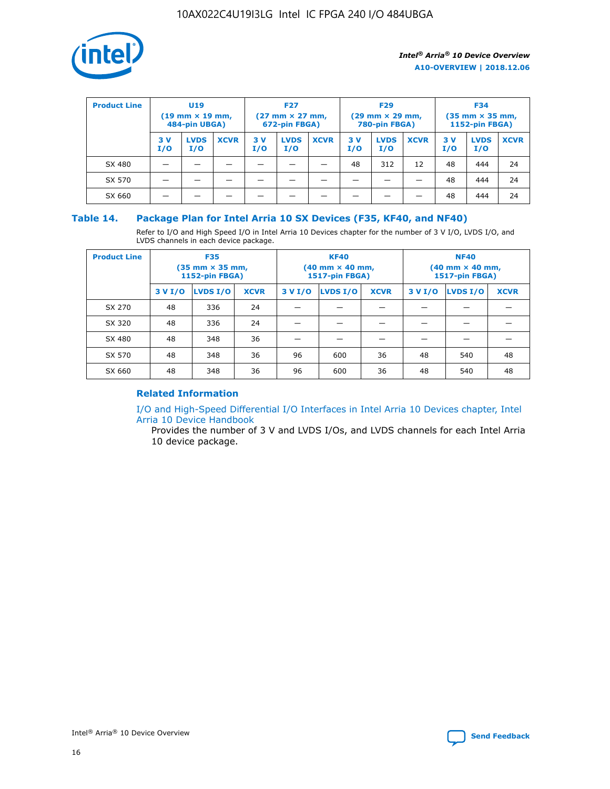

| <b>Product Line</b> | U <sub>19</sub><br>$(19 \text{ mm} \times 19 \text{ mm})$<br>484-pin UBGA) |                    | <b>F27</b><br>$(27 \text{ mm} \times 27 \text{ mm})$<br>672-pin FBGA) |           |                    | <b>F29</b><br>$(29 \text{ mm} \times 29 \text{ mm})$<br>780-pin FBGA) |           |                    | <b>F34</b><br>$(35$ mm $\times$ 35 mm,<br><b>1152-pin FBGA)</b> |           |                    |             |
|---------------------|----------------------------------------------------------------------------|--------------------|-----------------------------------------------------------------------|-----------|--------------------|-----------------------------------------------------------------------|-----------|--------------------|-----------------------------------------------------------------|-----------|--------------------|-------------|
|                     | 3 V<br>I/O                                                                 | <b>LVDS</b><br>I/O | <b>XCVR</b>                                                           | 3V<br>I/O | <b>LVDS</b><br>I/O | <b>XCVR</b>                                                           | 3V<br>I/O | <b>LVDS</b><br>I/O | <b>XCVR</b>                                                     | 3V<br>I/O | <b>LVDS</b><br>I/O | <b>XCVR</b> |
| SX 480              |                                                                            |                    |                                                                       |           |                    |                                                                       | 48        | 312                | 12                                                              | 48        | 444                | 24          |
| SX 570              |                                                                            |                    |                                                                       |           |                    |                                                                       |           |                    |                                                                 | 48        | 444                | 24          |
| SX 660              |                                                                            |                    |                                                                       |           |                    |                                                                       |           |                    |                                                                 | 48        | 444                | 24          |

#### **Table 14. Package Plan for Intel Arria 10 SX Devices (F35, KF40, and NF40)**

Refer to I/O and High Speed I/O in Intel Arria 10 Devices chapter for the number of 3 V I/O, LVDS I/O, and LVDS channels in each device package.

| <b>Product Line</b> | <b>F35</b><br>(35 mm × 35 mm,<br><b>1152-pin FBGA)</b> |          |             |                                           | <b>KF40</b><br>(40 mm × 40 mm,<br>1517-pin FBGA) |    | <b>NF40</b><br>$(40 \text{ mm} \times 40 \text{ mm})$<br>1517-pin FBGA) |          |             |  |
|---------------------|--------------------------------------------------------|----------|-------------|-------------------------------------------|--------------------------------------------------|----|-------------------------------------------------------------------------|----------|-------------|--|
|                     | 3 V I/O                                                | LVDS I/O | <b>XCVR</b> | <b>LVDS I/O</b><br>3 V I/O<br><b>XCVR</b> |                                                  |    | 3 V I/O                                                                 | LVDS I/O | <b>XCVR</b> |  |
| SX 270              | 48                                                     | 336      | 24          |                                           |                                                  |    |                                                                         |          |             |  |
| SX 320              | 48                                                     | 336      | 24          |                                           |                                                  |    |                                                                         |          |             |  |
| SX 480              | 48                                                     | 348      | 36          |                                           |                                                  |    |                                                                         |          |             |  |
| SX 570              | 48                                                     | 348      | 36          | 96                                        | 600                                              | 36 | 48                                                                      | 540      | 48          |  |
| SX 660              | 48                                                     | 348      | 36          | 96                                        | 600                                              | 36 | 48                                                                      | 540      | 48          |  |

# **Related Information**

[I/O and High-Speed Differential I/O Interfaces in Intel Arria 10 Devices chapter, Intel](https://www.intel.com/content/www/us/en/programmable/documentation/sam1403482614086.html#sam1403482030321) [Arria 10 Device Handbook](https://www.intel.com/content/www/us/en/programmable/documentation/sam1403482614086.html#sam1403482030321)

Provides the number of 3 V and LVDS I/Os, and LVDS channels for each Intel Arria 10 device package.

Intel<sup>®</sup> Arria<sup>®</sup> 10 Device Overview **[Send Feedback](mailto:FPGAtechdocfeedback@intel.com?subject=Feedback%20on%20Intel%20Arria%2010%20Device%20Overview%20(A10-OVERVIEW%202018.12.06)&body=We%20appreciate%20your%20feedback.%20In%20your%20comments,%20also%20specify%20the%20page%20number%20or%20paragraph.%20Thank%20you.)** Send Feedback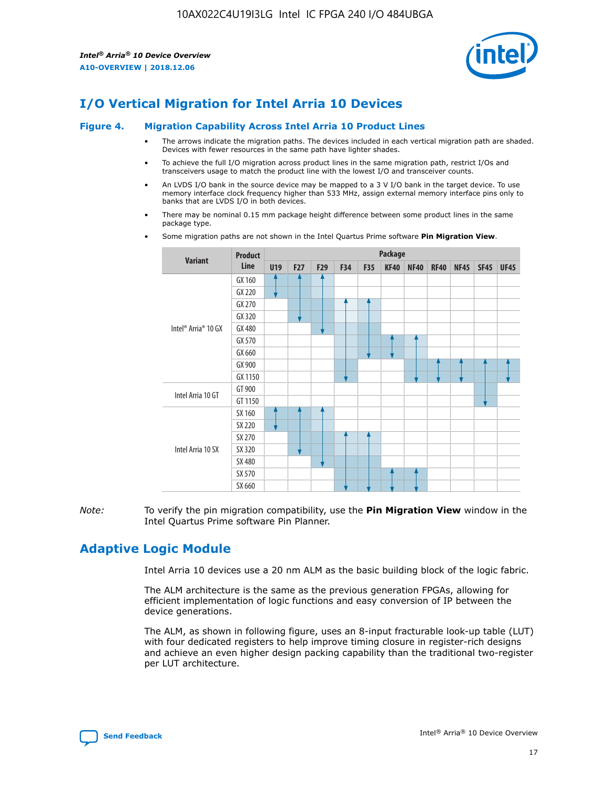

# **I/O Vertical Migration for Intel Arria 10 Devices**

#### **Figure 4. Migration Capability Across Intel Arria 10 Product Lines**

- The arrows indicate the migration paths. The devices included in each vertical migration path are shaded. Devices with fewer resources in the same path have lighter shades.
- To achieve the full I/O migration across product lines in the same migration path, restrict I/Os and transceivers usage to match the product line with the lowest I/O and transceiver counts.
- An LVDS I/O bank in the source device may be mapped to a 3 V I/O bank in the target device. To use memory interface clock frequency higher than 533 MHz, assign external memory interface pins only to banks that are LVDS I/O in both devices.
- There may be nominal 0.15 mm package height difference between some product lines in the same package type.
	- **Variant Product Line Package U19 F27 F29 F34 F35 KF40 NF40 RF40 NF45 SF45 UF45** Intel® Arria® 10 GX GX 160 GX 220 GX 270 GX 320 GX 480 GX 570 GX 660 GX 900 GX 1150 Intel Arria 10 GT GT 900 GT 1150 Intel Arria 10 SX SX 160 SX 220 SX 270 SX 320 SX 480 SX 570 SX 660
- Some migration paths are not shown in the Intel Quartus Prime software **Pin Migration View**.

*Note:* To verify the pin migration compatibility, use the **Pin Migration View** window in the Intel Quartus Prime software Pin Planner.

# **Adaptive Logic Module**

Intel Arria 10 devices use a 20 nm ALM as the basic building block of the logic fabric.

The ALM architecture is the same as the previous generation FPGAs, allowing for efficient implementation of logic functions and easy conversion of IP between the device generations.

The ALM, as shown in following figure, uses an 8-input fracturable look-up table (LUT) with four dedicated registers to help improve timing closure in register-rich designs and achieve an even higher design packing capability than the traditional two-register per LUT architecture.

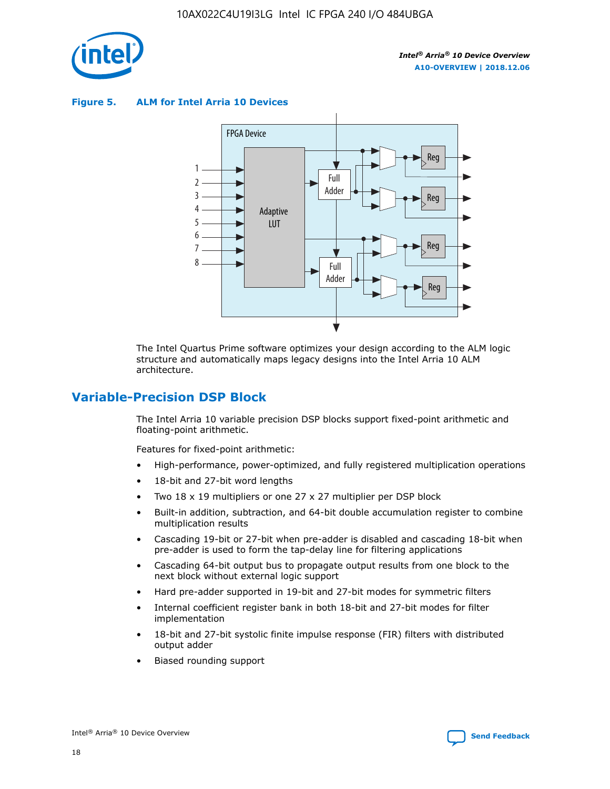

**Figure 5. ALM for Intel Arria 10 Devices**



The Intel Quartus Prime software optimizes your design according to the ALM logic structure and automatically maps legacy designs into the Intel Arria 10 ALM architecture.

# **Variable-Precision DSP Block**

The Intel Arria 10 variable precision DSP blocks support fixed-point arithmetic and floating-point arithmetic.

Features for fixed-point arithmetic:

- High-performance, power-optimized, and fully registered multiplication operations
- 18-bit and 27-bit word lengths
- Two 18 x 19 multipliers or one 27 x 27 multiplier per DSP block
- Built-in addition, subtraction, and 64-bit double accumulation register to combine multiplication results
- Cascading 19-bit or 27-bit when pre-adder is disabled and cascading 18-bit when pre-adder is used to form the tap-delay line for filtering applications
- Cascading 64-bit output bus to propagate output results from one block to the next block without external logic support
- Hard pre-adder supported in 19-bit and 27-bit modes for symmetric filters
- Internal coefficient register bank in both 18-bit and 27-bit modes for filter implementation
- 18-bit and 27-bit systolic finite impulse response (FIR) filters with distributed output adder
- Biased rounding support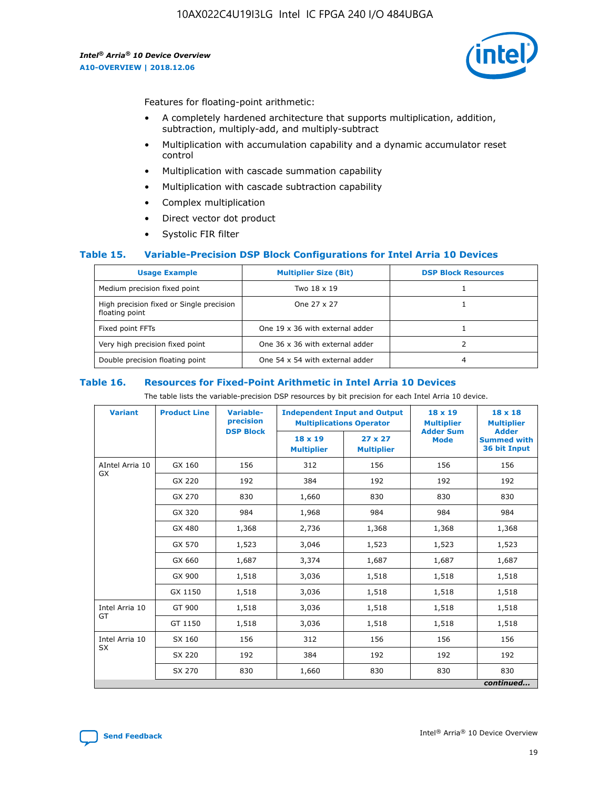

Features for floating-point arithmetic:

- A completely hardened architecture that supports multiplication, addition, subtraction, multiply-add, and multiply-subtract
- Multiplication with accumulation capability and a dynamic accumulator reset control
- Multiplication with cascade summation capability
- Multiplication with cascade subtraction capability
- Complex multiplication
- Direct vector dot product
- Systolic FIR filter

#### **Table 15. Variable-Precision DSP Block Configurations for Intel Arria 10 Devices**

| <b>Usage Example</b>                                       | <b>Multiplier Size (Bit)</b>    | <b>DSP Block Resources</b> |
|------------------------------------------------------------|---------------------------------|----------------------------|
| Medium precision fixed point                               | Two 18 x 19                     |                            |
| High precision fixed or Single precision<br>floating point | One 27 x 27                     |                            |
| Fixed point FFTs                                           | One 19 x 36 with external adder |                            |
| Very high precision fixed point                            | One 36 x 36 with external adder |                            |
| Double precision floating point                            | One 54 x 54 with external adder | 4                          |

#### **Table 16. Resources for Fixed-Point Arithmetic in Intel Arria 10 Devices**

The table lists the variable-precision DSP resources by bit precision for each Intel Arria 10 device.

| <b>Variant</b>        | <b>Product Line</b> | <b>Variable-</b><br>precision<br><b>DSP Block</b> | <b>Independent Input and Output</b><br><b>Multiplications Operator</b> |                                     | 18 x 19<br><b>Multiplier</b><br><b>Adder Sum</b> | $18 \times 18$<br><b>Multiplier</b><br><b>Adder</b> |
|-----------------------|---------------------|---------------------------------------------------|------------------------------------------------------------------------|-------------------------------------|--------------------------------------------------|-----------------------------------------------------|
|                       |                     |                                                   | 18 x 19<br><b>Multiplier</b>                                           | $27 \times 27$<br><b>Multiplier</b> | <b>Mode</b>                                      | <b>Summed with</b><br>36 bit Input                  |
| AIntel Arria 10<br>GX | GX 160              | 156                                               | 312                                                                    | 156                                 | 156                                              | 156                                                 |
|                       | GX 220              | 192                                               | 384                                                                    | 192                                 | 192                                              | 192                                                 |
|                       | GX 270              | 830                                               | 1,660                                                                  | 830                                 | 830                                              | 830                                                 |
|                       | GX 320              | 984                                               | 1,968                                                                  | 984                                 | 984                                              | 984                                                 |
|                       | GX 480              | 1,368                                             | 2,736                                                                  | 1,368                               | 1,368                                            | 1,368                                               |
|                       | GX 570              | 1,523                                             | 3,046                                                                  | 1,523                               | 1,523                                            | 1,523                                               |
|                       | GX 660              | 1,687                                             | 3,374                                                                  | 1,687                               | 1,687                                            | 1,687                                               |
|                       | GX 900              | 1,518                                             | 3,036                                                                  | 1,518                               | 1,518                                            | 1,518                                               |
|                       | GX 1150             | 1,518                                             | 3,036                                                                  | 1,518                               | 1,518                                            | 1,518                                               |
| Intel Arria 10        | GT 900              | 1,518                                             | 3,036                                                                  | 1,518                               | 1,518                                            | 1,518                                               |
| GT                    | GT 1150             | 1,518                                             | 3,036                                                                  | 1,518                               | 1,518                                            | 1,518                                               |
| Intel Arria 10        | SX 160              | 156                                               | 312                                                                    | 156                                 | 156                                              | 156                                                 |
| <b>SX</b>             | SX 220              | 192                                               | 384                                                                    | 192                                 | 192                                              | 192                                                 |
|                       | SX 270              | 830                                               | 1,660                                                                  | 830                                 | 830                                              | 830                                                 |
|                       |                     |                                                   |                                                                        |                                     |                                                  | continued                                           |

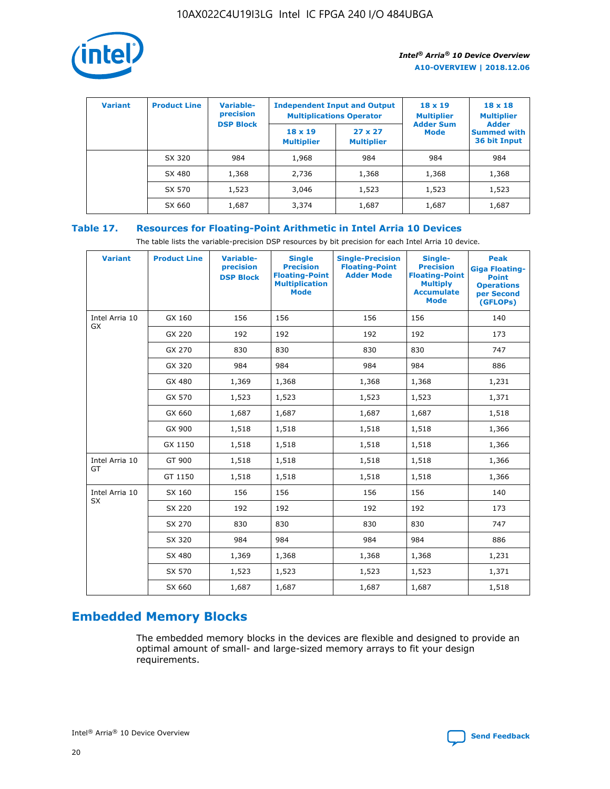

| <b>Variant</b> | <b>Product Line</b> | Variable-<br>precision | <b>Independent Input and Output</b><br><b>Multiplications Operator</b> |                                     | $18 \times 19$<br><b>Multiplier</b> | $18 \times 18$<br><b>Multiplier</b><br><b>Adder</b> |  |
|----------------|---------------------|------------------------|------------------------------------------------------------------------|-------------------------------------|-------------------------------------|-----------------------------------------------------|--|
|                |                     | <b>DSP Block</b>       | $18 \times 19$<br><b>Multiplier</b>                                    | $27 \times 27$<br><b>Multiplier</b> | <b>Adder Sum</b><br><b>Mode</b>     | <b>Summed with</b><br>36 bit Input                  |  |
|                | SX 320              | 984                    | 1,968                                                                  | 984                                 | 984                                 | 984                                                 |  |
|                | SX 480              | 1,368                  | 2,736                                                                  | 1,368                               | 1,368                               | 1,368                                               |  |
|                | SX 570              | 1,523                  | 3,046                                                                  | 1,523                               | 1,523                               | 1,523                                               |  |
|                | SX 660              | 1,687                  | 3,374                                                                  | 1,687                               | 1,687                               | 1,687                                               |  |

# **Table 17. Resources for Floating-Point Arithmetic in Intel Arria 10 Devices**

The table lists the variable-precision DSP resources by bit precision for each Intel Arria 10 device.

| <b>Variant</b> | <b>Product Line</b> | <b>Variable-</b><br>precision<br><b>DSP Block</b> | <b>Single</b><br><b>Precision</b><br><b>Floating-Point</b><br><b>Multiplication</b><br><b>Mode</b> | <b>Single-Precision</b><br><b>Floating-Point</b><br><b>Adder Mode</b> | Single-<br><b>Precision</b><br><b>Floating-Point</b><br><b>Multiply</b><br><b>Accumulate</b><br><b>Mode</b> | <b>Peak</b><br><b>Giga Floating-</b><br><b>Point</b><br><b>Operations</b><br>per Second<br>(GFLOPs) |
|----------------|---------------------|---------------------------------------------------|----------------------------------------------------------------------------------------------------|-----------------------------------------------------------------------|-------------------------------------------------------------------------------------------------------------|-----------------------------------------------------------------------------------------------------|
| Intel Arria 10 | GX 160              | 156                                               | 156                                                                                                | 156                                                                   | 156                                                                                                         | 140                                                                                                 |
| GX             | GX 220              | 192                                               | 192                                                                                                | 192                                                                   | 192                                                                                                         | 173                                                                                                 |
|                | GX 270              | 830                                               | 830                                                                                                | 830                                                                   | 830                                                                                                         | 747                                                                                                 |
|                | GX 320              | 984                                               | 984                                                                                                | 984                                                                   | 984                                                                                                         | 886                                                                                                 |
|                | GX 480              | 1,369                                             | 1,368                                                                                              | 1,368                                                                 | 1,368                                                                                                       | 1,231                                                                                               |
|                | GX 570              | 1,523                                             | 1,523                                                                                              | 1,523                                                                 | 1,523                                                                                                       | 1,371                                                                                               |
|                | GX 660              | 1,687                                             | 1,687                                                                                              | 1,687                                                                 | 1,687                                                                                                       | 1,518                                                                                               |
|                | GX 900              | 1,518                                             | 1,518                                                                                              | 1,518                                                                 | 1,518                                                                                                       | 1,366                                                                                               |
|                | GX 1150             | 1,518                                             | 1,518                                                                                              | 1,518                                                                 | 1,518                                                                                                       | 1,366                                                                                               |
| Intel Arria 10 | GT 900              | 1,518                                             | 1,518                                                                                              | 1,518                                                                 | 1,518                                                                                                       | 1,366                                                                                               |
| GT             | GT 1150             | 1,518                                             | 1,518                                                                                              | 1,518                                                                 | 1,518                                                                                                       | 1,366                                                                                               |
| Intel Arria 10 | SX 160              | 156                                               | 156                                                                                                | 156                                                                   | 156                                                                                                         | 140                                                                                                 |
| <b>SX</b>      | SX 220              | 192                                               | 192                                                                                                | 192                                                                   | 192                                                                                                         | 173                                                                                                 |
|                | SX 270              | 830                                               | 830                                                                                                | 830                                                                   | 830                                                                                                         | 747                                                                                                 |
|                | SX 320              | 984                                               | 984                                                                                                | 984                                                                   | 984                                                                                                         | 886                                                                                                 |
|                | SX 480              | 1,369                                             | 1,368                                                                                              | 1,368                                                                 | 1,368                                                                                                       | 1,231                                                                                               |
|                | SX 570              | 1,523                                             | 1,523                                                                                              | 1,523                                                                 | 1,523                                                                                                       | 1,371                                                                                               |
|                | SX 660              | 1,687                                             | 1,687                                                                                              | 1,687                                                                 | 1,687                                                                                                       | 1,518                                                                                               |

# **Embedded Memory Blocks**

The embedded memory blocks in the devices are flexible and designed to provide an optimal amount of small- and large-sized memory arrays to fit your design requirements.

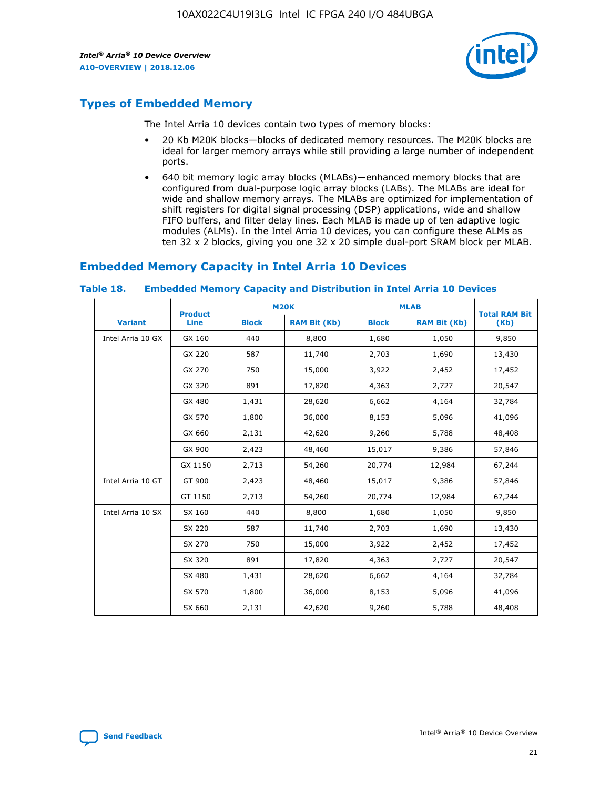

# **Types of Embedded Memory**

The Intel Arria 10 devices contain two types of memory blocks:

- 20 Kb M20K blocks—blocks of dedicated memory resources. The M20K blocks are ideal for larger memory arrays while still providing a large number of independent ports.
- 640 bit memory logic array blocks (MLABs)—enhanced memory blocks that are configured from dual-purpose logic array blocks (LABs). The MLABs are ideal for wide and shallow memory arrays. The MLABs are optimized for implementation of shift registers for digital signal processing (DSP) applications, wide and shallow FIFO buffers, and filter delay lines. Each MLAB is made up of ten adaptive logic modules (ALMs). In the Intel Arria 10 devices, you can configure these ALMs as ten 32 x 2 blocks, giving you one 32 x 20 simple dual-port SRAM block per MLAB.

# **Embedded Memory Capacity in Intel Arria 10 Devices**

|                   | <b>Product</b> |              | <b>M20K</b>         | <b>MLAB</b>  |                     | <b>Total RAM Bit</b> |
|-------------------|----------------|--------------|---------------------|--------------|---------------------|----------------------|
| <b>Variant</b>    | <b>Line</b>    | <b>Block</b> | <b>RAM Bit (Kb)</b> | <b>Block</b> | <b>RAM Bit (Kb)</b> | (Kb)                 |
| Intel Arria 10 GX | GX 160         | 440          | 8,800               | 1,680        | 1,050               | 9,850                |
|                   | GX 220         | 587          | 11,740              | 2,703        | 1,690               | 13,430               |
|                   | GX 270         | 750          | 15,000              | 3,922        | 2,452               | 17,452               |
|                   | GX 320         | 891          | 17,820              | 4,363        | 2,727               | 20,547               |
|                   | GX 480         | 1,431        | 28,620              | 6,662        | 4,164               | 32,784               |
|                   | GX 570         | 1,800        | 36,000              | 8,153        | 5,096               | 41,096               |
|                   | GX 660         | 2,131        | 42,620              | 9,260        | 5,788               | 48,408               |
|                   | GX 900         | 2,423        | 48,460              | 15,017       | 9,386               | 57,846               |
|                   | GX 1150        | 2,713        | 54,260              | 20,774       | 12,984              | 67,244               |
| Intel Arria 10 GT | GT 900         | 2,423        | 48,460              | 15,017       | 9,386               | 57,846               |
|                   | GT 1150        | 2,713        | 54,260              | 20,774       | 12,984              | 67,244               |
| Intel Arria 10 SX | SX 160         | 440          | 8,800               | 1,680        | 1,050               | 9,850                |
|                   | SX 220         | 587          | 11,740              | 2,703        | 1,690               | 13,430               |
|                   | SX 270         | 750          | 15,000              | 3,922        | 2,452               | 17,452               |
|                   | SX 320         | 891          | 17,820              | 4,363        | 2,727               | 20,547               |
|                   | SX 480         | 1,431        | 28,620              | 6,662        | 4,164               | 32,784               |
|                   | SX 570         | 1,800        | 36,000              | 8,153        | 5,096               | 41,096               |
|                   | SX 660         | 2,131        | 42,620              | 9,260        | 5,788               | 48,408               |

#### **Table 18. Embedded Memory Capacity and Distribution in Intel Arria 10 Devices**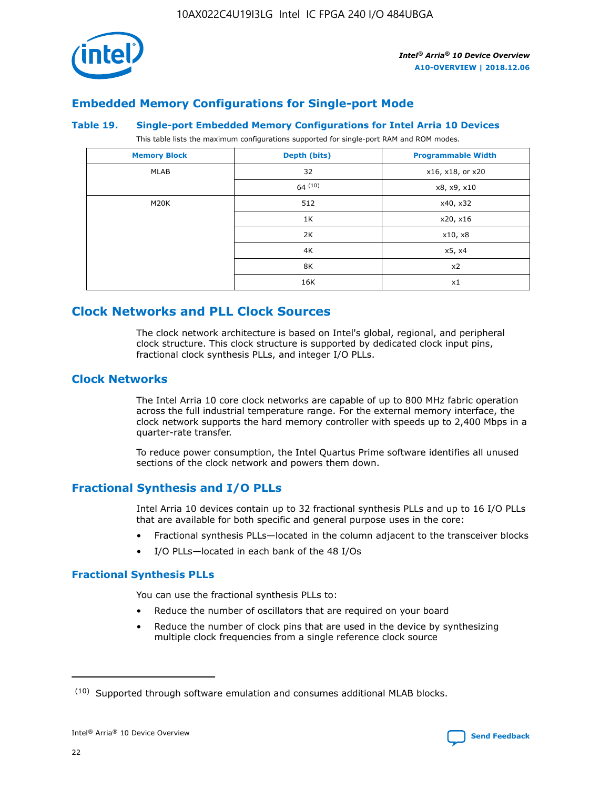

# **Embedded Memory Configurations for Single-port Mode**

#### **Table 19. Single-port Embedded Memory Configurations for Intel Arria 10 Devices**

This table lists the maximum configurations supported for single-port RAM and ROM modes.

| <b>Memory Block</b> | Depth (bits) | <b>Programmable Width</b> |
|---------------------|--------------|---------------------------|
| MLAB                | 32           | x16, x18, or x20          |
|                     | 64(10)       | x8, x9, x10               |
| M20K                | 512          | x40, x32                  |
|                     | 1K           | x20, x16                  |
|                     | 2K           | x10, x8                   |
|                     | 4K           | x5, x4                    |
|                     | 8K           | x2                        |
|                     | 16K          | x1                        |

# **Clock Networks and PLL Clock Sources**

The clock network architecture is based on Intel's global, regional, and peripheral clock structure. This clock structure is supported by dedicated clock input pins, fractional clock synthesis PLLs, and integer I/O PLLs.

## **Clock Networks**

The Intel Arria 10 core clock networks are capable of up to 800 MHz fabric operation across the full industrial temperature range. For the external memory interface, the clock network supports the hard memory controller with speeds up to 2,400 Mbps in a quarter-rate transfer.

To reduce power consumption, the Intel Quartus Prime software identifies all unused sections of the clock network and powers them down.

## **Fractional Synthesis and I/O PLLs**

Intel Arria 10 devices contain up to 32 fractional synthesis PLLs and up to 16 I/O PLLs that are available for both specific and general purpose uses in the core:

- Fractional synthesis PLLs—located in the column adjacent to the transceiver blocks
- I/O PLLs—located in each bank of the 48 I/Os

#### **Fractional Synthesis PLLs**

You can use the fractional synthesis PLLs to:

- Reduce the number of oscillators that are required on your board
- Reduce the number of clock pins that are used in the device by synthesizing multiple clock frequencies from a single reference clock source

<sup>(10)</sup> Supported through software emulation and consumes additional MLAB blocks.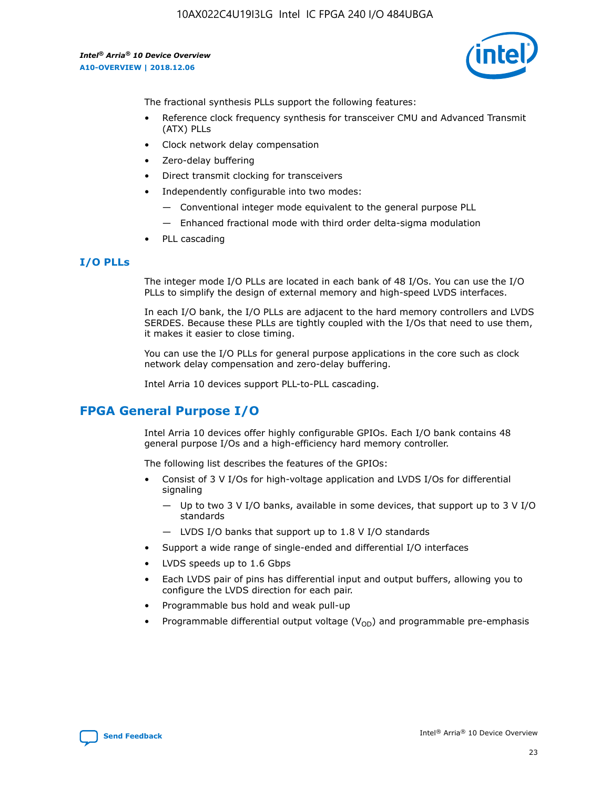10AX022C4U19I3LG Intel IC FPGA 240 I/O 484UBGA

*Intel® Arria® 10 Device Overview* **A10-OVERVIEW | 2018.12.06**



The fractional synthesis PLLs support the following features:

- Reference clock frequency synthesis for transceiver CMU and Advanced Transmit (ATX) PLLs
- Clock network delay compensation
- Zero-delay buffering
- Direct transmit clocking for transceivers
- Independently configurable into two modes:
	- Conventional integer mode equivalent to the general purpose PLL
	- Enhanced fractional mode with third order delta-sigma modulation
- PLL cascading

#### **I/O PLLs**

The integer mode I/O PLLs are located in each bank of 48 I/Os. You can use the I/O PLLs to simplify the design of external memory and high-speed LVDS interfaces.

In each I/O bank, the I/O PLLs are adjacent to the hard memory controllers and LVDS SERDES. Because these PLLs are tightly coupled with the I/Os that need to use them, it makes it easier to close timing.

You can use the I/O PLLs for general purpose applications in the core such as clock network delay compensation and zero-delay buffering.

Intel Arria 10 devices support PLL-to-PLL cascading.

# **FPGA General Purpose I/O**

Intel Arria 10 devices offer highly configurable GPIOs. Each I/O bank contains 48 general purpose I/Os and a high-efficiency hard memory controller.

The following list describes the features of the GPIOs:

- Consist of 3 V I/Os for high-voltage application and LVDS I/Os for differential signaling
	- Up to two 3 V I/O banks, available in some devices, that support up to 3 V I/O standards
	- LVDS I/O banks that support up to 1.8 V I/O standards
- Support a wide range of single-ended and differential I/O interfaces
- LVDS speeds up to 1.6 Gbps
- Each LVDS pair of pins has differential input and output buffers, allowing you to configure the LVDS direction for each pair.
- Programmable bus hold and weak pull-up
- Programmable differential output voltage  $(V_{OD})$  and programmable pre-emphasis

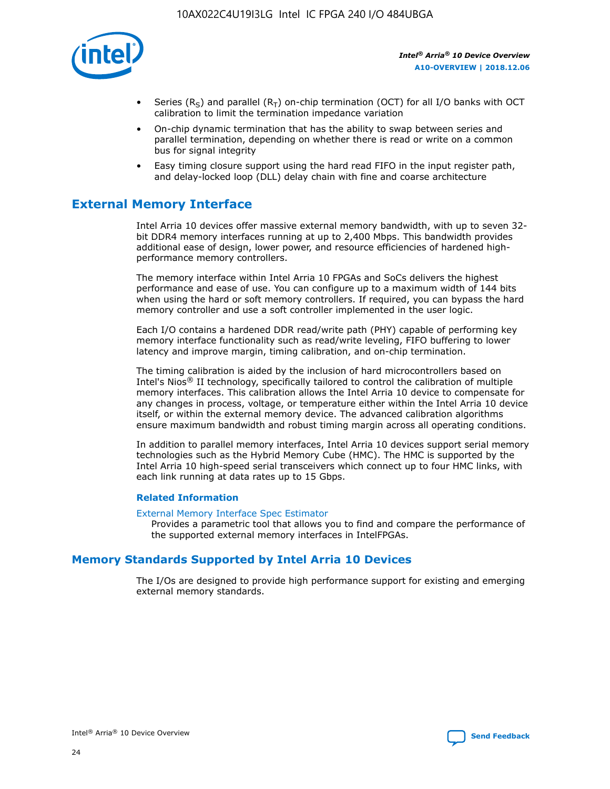

- Series (R<sub>S</sub>) and parallel (R<sub>T</sub>) on-chip termination (OCT) for all I/O banks with OCT calibration to limit the termination impedance variation
- On-chip dynamic termination that has the ability to swap between series and parallel termination, depending on whether there is read or write on a common bus for signal integrity
- Easy timing closure support using the hard read FIFO in the input register path, and delay-locked loop (DLL) delay chain with fine and coarse architecture

# **External Memory Interface**

Intel Arria 10 devices offer massive external memory bandwidth, with up to seven 32 bit DDR4 memory interfaces running at up to 2,400 Mbps. This bandwidth provides additional ease of design, lower power, and resource efficiencies of hardened highperformance memory controllers.

The memory interface within Intel Arria 10 FPGAs and SoCs delivers the highest performance and ease of use. You can configure up to a maximum width of 144 bits when using the hard or soft memory controllers. If required, you can bypass the hard memory controller and use a soft controller implemented in the user logic.

Each I/O contains a hardened DDR read/write path (PHY) capable of performing key memory interface functionality such as read/write leveling, FIFO buffering to lower latency and improve margin, timing calibration, and on-chip termination.

The timing calibration is aided by the inclusion of hard microcontrollers based on Intel's Nios® II technology, specifically tailored to control the calibration of multiple memory interfaces. This calibration allows the Intel Arria 10 device to compensate for any changes in process, voltage, or temperature either within the Intel Arria 10 device itself, or within the external memory device. The advanced calibration algorithms ensure maximum bandwidth and robust timing margin across all operating conditions.

In addition to parallel memory interfaces, Intel Arria 10 devices support serial memory technologies such as the Hybrid Memory Cube (HMC). The HMC is supported by the Intel Arria 10 high-speed serial transceivers which connect up to four HMC links, with each link running at data rates up to 15 Gbps.

#### **Related Information**

#### [External Memory Interface Spec Estimator](http://www.altera.com/technology/memory/estimator/mem-emif-index.html)

Provides a parametric tool that allows you to find and compare the performance of the supported external memory interfaces in IntelFPGAs.

# **Memory Standards Supported by Intel Arria 10 Devices**

The I/Os are designed to provide high performance support for existing and emerging external memory standards.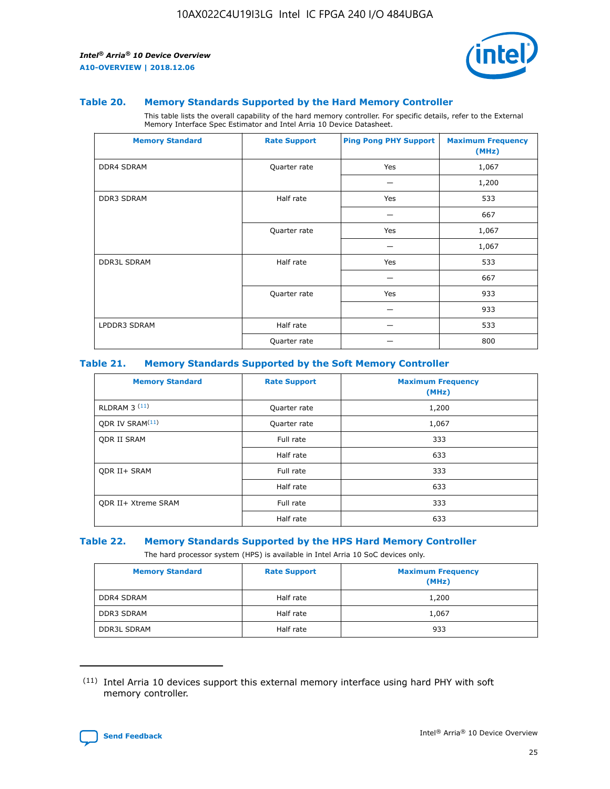

#### **Table 20. Memory Standards Supported by the Hard Memory Controller**

This table lists the overall capability of the hard memory controller. For specific details, refer to the External Memory Interface Spec Estimator and Intel Arria 10 Device Datasheet.

| <b>Memory Standard</b> | <b>Rate Support</b> | <b>Ping Pong PHY Support</b> | <b>Maximum Frequency</b><br>(MHz) |
|------------------------|---------------------|------------------------------|-----------------------------------|
| <b>DDR4 SDRAM</b>      | Quarter rate        | Yes                          | 1,067                             |
|                        |                     |                              | 1,200                             |
| DDR3 SDRAM             | Half rate           | Yes                          | 533                               |
|                        |                     |                              | 667                               |
|                        | Quarter rate        | Yes                          | 1,067                             |
|                        |                     |                              | 1,067                             |
| <b>DDR3L SDRAM</b>     | Half rate           | Yes                          | 533                               |
|                        |                     |                              | 667                               |
|                        | Quarter rate        | Yes                          | 933                               |
|                        |                     |                              | 933                               |
| LPDDR3 SDRAM           | Half rate           |                              | 533                               |
|                        | Quarter rate        |                              | 800                               |

#### **Table 21. Memory Standards Supported by the Soft Memory Controller**

| <b>Memory Standard</b>      | <b>Rate Support</b> | <b>Maximum Frequency</b><br>(MHz) |
|-----------------------------|---------------------|-----------------------------------|
| <b>RLDRAM 3 (11)</b>        | Quarter rate        | 1,200                             |
| ODR IV SRAM <sup>(11)</sup> | Quarter rate        | 1,067                             |
| <b>ODR II SRAM</b>          | Full rate           | 333                               |
|                             | Half rate           | 633                               |
| <b>ODR II+ SRAM</b>         | Full rate           | 333                               |
|                             | Half rate           | 633                               |
| <b>ODR II+ Xtreme SRAM</b>  | Full rate           | 333                               |
|                             | Half rate           | 633                               |

#### **Table 22. Memory Standards Supported by the HPS Hard Memory Controller**

The hard processor system (HPS) is available in Intel Arria 10 SoC devices only.

| <b>Memory Standard</b> | <b>Rate Support</b> | <b>Maximum Frequency</b><br>(MHz) |
|------------------------|---------------------|-----------------------------------|
| <b>DDR4 SDRAM</b>      | Half rate           | 1,200                             |
| <b>DDR3 SDRAM</b>      | Half rate           | 1,067                             |
| <b>DDR3L SDRAM</b>     | Half rate           | 933                               |

<sup>(11)</sup> Intel Arria 10 devices support this external memory interface using hard PHY with soft memory controller.

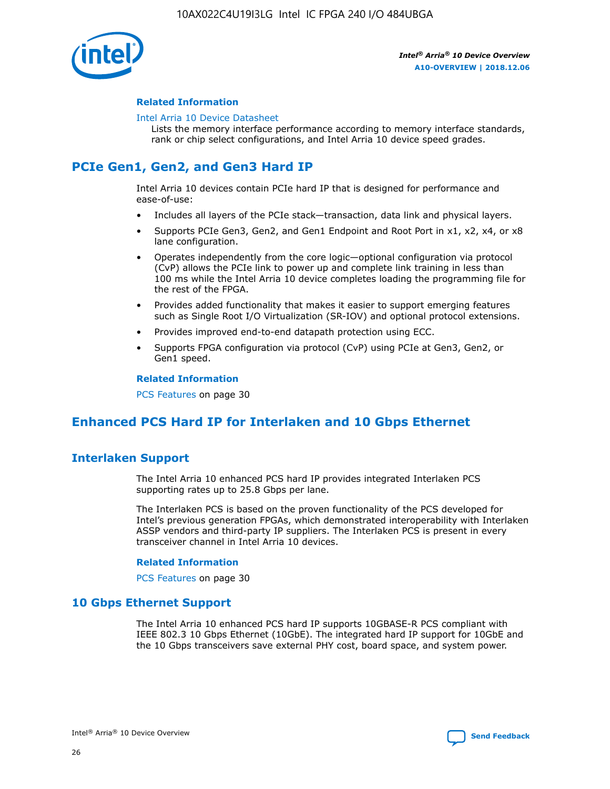

#### **Related Information**

#### [Intel Arria 10 Device Datasheet](https://www.intel.com/content/www/us/en/programmable/documentation/mcn1413182292568.html#mcn1413182153340)

Lists the memory interface performance according to memory interface standards, rank or chip select configurations, and Intel Arria 10 device speed grades.

# **PCIe Gen1, Gen2, and Gen3 Hard IP**

Intel Arria 10 devices contain PCIe hard IP that is designed for performance and ease-of-use:

- Includes all layers of the PCIe stack—transaction, data link and physical layers.
- Supports PCIe Gen3, Gen2, and Gen1 Endpoint and Root Port in x1, x2, x4, or x8 lane configuration.
- Operates independently from the core logic—optional configuration via protocol (CvP) allows the PCIe link to power up and complete link training in less than 100 ms while the Intel Arria 10 device completes loading the programming file for the rest of the FPGA.
- Provides added functionality that makes it easier to support emerging features such as Single Root I/O Virtualization (SR-IOV) and optional protocol extensions.
- Provides improved end-to-end datapath protection using ECC.
- Supports FPGA configuration via protocol (CvP) using PCIe at Gen3, Gen2, or Gen1 speed.

#### **Related Information**

PCS Features on page 30

# **Enhanced PCS Hard IP for Interlaken and 10 Gbps Ethernet**

# **Interlaken Support**

The Intel Arria 10 enhanced PCS hard IP provides integrated Interlaken PCS supporting rates up to 25.8 Gbps per lane.

The Interlaken PCS is based on the proven functionality of the PCS developed for Intel's previous generation FPGAs, which demonstrated interoperability with Interlaken ASSP vendors and third-party IP suppliers. The Interlaken PCS is present in every transceiver channel in Intel Arria 10 devices.

#### **Related Information**

PCS Features on page 30

## **10 Gbps Ethernet Support**

The Intel Arria 10 enhanced PCS hard IP supports 10GBASE-R PCS compliant with IEEE 802.3 10 Gbps Ethernet (10GbE). The integrated hard IP support for 10GbE and the 10 Gbps transceivers save external PHY cost, board space, and system power.

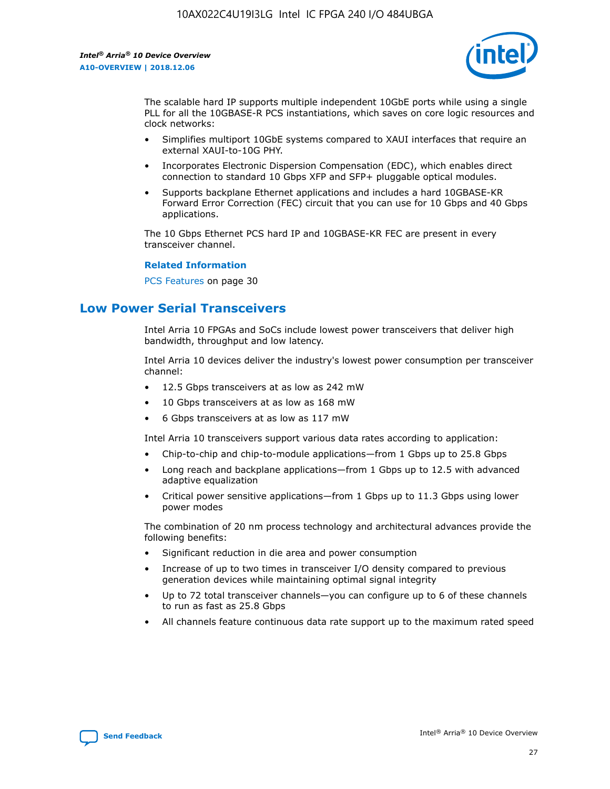

The scalable hard IP supports multiple independent 10GbE ports while using a single PLL for all the 10GBASE-R PCS instantiations, which saves on core logic resources and clock networks:

- Simplifies multiport 10GbE systems compared to XAUI interfaces that require an external XAUI-to-10G PHY.
- Incorporates Electronic Dispersion Compensation (EDC), which enables direct connection to standard 10 Gbps XFP and SFP+ pluggable optical modules.
- Supports backplane Ethernet applications and includes a hard 10GBASE-KR Forward Error Correction (FEC) circuit that you can use for 10 Gbps and 40 Gbps applications.

The 10 Gbps Ethernet PCS hard IP and 10GBASE-KR FEC are present in every transceiver channel.

#### **Related Information**

PCS Features on page 30

# **Low Power Serial Transceivers**

Intel Arria 10 FPGAs and SoCs include lowest power transceivers that deliver high bandwidth, throughput and low latency.

Intel Arria 10 devices deliver the industry's lowest power consumption per transceiver channel:

- 12.5 Gbps transceivers at as low as 242 mW
- 10 Gbps transceivers at as low as 168 mW
- 6 Gbps transceivers at as low as 117 mW

Intel Arria 10 transceivers support various data rates according to application:

- Chip-to-chip and chip-to-module applications—from 1 Gbps up to 25.8 Gbps
- Long reach and backplane applications—from 1 Gbps up to 12.5 with advanced adaptive equalization
- Critical power sensitive applications—from 1 Gbps up to 11.3 Gbps using lower power modes

The combination of 20 nm process technology and architectural advances provide the following benefits:

- Significant reduction in die area and power consumption
- Increase of up to two times in transceiver I/O density compared to previous generation devices while maintaining optimal signal integrity
- Up to 72 total transceiver channels—you can configure up to 6 of these channels to run as fast as 25.8 Gbps
- All channels feature continuous data rate support up to the maximum rated speed

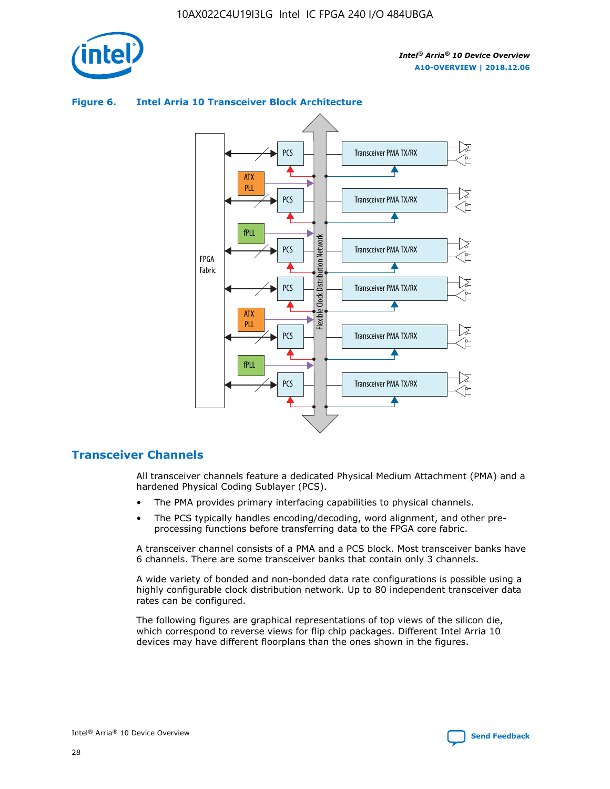

## Transceiver PMA TX/RX PCS ATX PLL Transceiver PMA TX/RX PCS fPLL Network Flexible Clock Distribution Network PCS Transceiver PMA TX/RX FPGA **Clock Distribution** Fabric PCS Transceiver PMA TX/RX ATX Flexible PLL PCS Transceiver PMA TX/RX ▲ fPLL Transceiver PMA TX/RX PCS 4

#### **Figure 6. Intel Arria 10 Transceiver Block Architecture**

## **Transceiver Channels**

All transceiver channels feature a dedicated Physical Medium Attachment (PMA) and a hardened Physical Coding Sublayer (PCS).

- The PMA provides primary interfacing capabilities to physical channels.
- The PCS typically handles encoding/decoding, word alignment, and other preprocessing functions before transferring data to the FPGA core fabric.

A transceiver channel consists of a PMA and a PCS block. Most transceiver banks have 6 channels. There are some transceiver banks that contain only 3 channels.

A wide variety of bonded and non-bonded data rate configurations is possible using a highly configurable clock distribution network. Up to 80 independent transceiver data rates can be configured.

The following figures are graphical representations of top views of the silicon die, which correspond to reverse views for flip chip packages. Different Intel Arria 10 devices may have different floorplans than the ones shown in the figures.

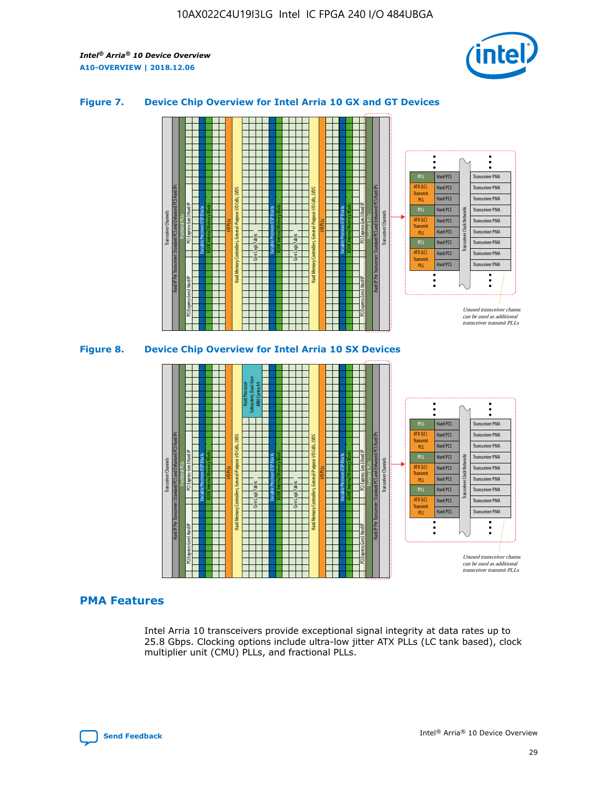

#### **Figure 7. Device Chip Overview for Intel Arria 10 GX and GT Devices**



M20K Internal Memory Blocks Core Logic Fabric Transceiver Channels Hard IP Per Transceiver: Standard PCS and Enhanced PCS Hard IPs PCI Express Gen3 Hard IP Fractional PLLs M20K Internal Memory Blocks PCI Express Gen3 Hard IP Variable Precision DSP Blocks I/O PLLs Hard Memory Controllers, General-Purpose I/O Cells, LVDS Hard Processor Subsystem, Dual-Core ARM Cortex A9 M20K Internal Memory Blocks Variable Precision DSP Blocks M20K Internal Memory Blocks Core Logic Fabric I/O PLLs Hard Memory Controllers, General-Purpose I/O Cells, LVDS M20K Internal Memory Blocks Variable Precision DSP Blocks M20K Internal Memory Blocks Transceiver Channels Hard IP Per Transceiver: Standard PCS and Enhanced PCS Hard IPs PCI Express Gen3 Hard IP Fractional PLLs PCI Express Gen3 Hard IP Hard PCS Hard PCS Hard PCS Hard PCS Hard PCS Hard PCS Transceiver PMA Transceiver PMA Transceiver PMA Transceiver Clock Networks ATX (LC) **Transmit** PLL fPLL ATX (LC) Transmi PLL fPLL

#### **PMA Features**

Intel Arria 10 transceivers provide exceptional signal integrity at data rates up to 25.8 Gbps. Clocking options include ultra-low jitter ATX PLLs (LC tank based), clock multiplier unit (CMU) PLLs, and fractional PLLs.

Hard PCS Hard PCS

ATX (LC) **Transmit** PLL

Transceiver PMA

Transceiver PMA

Transceiver PMA Transceiver PMA

Unused transceiver chann can be used as additional transceiver transmit PLLs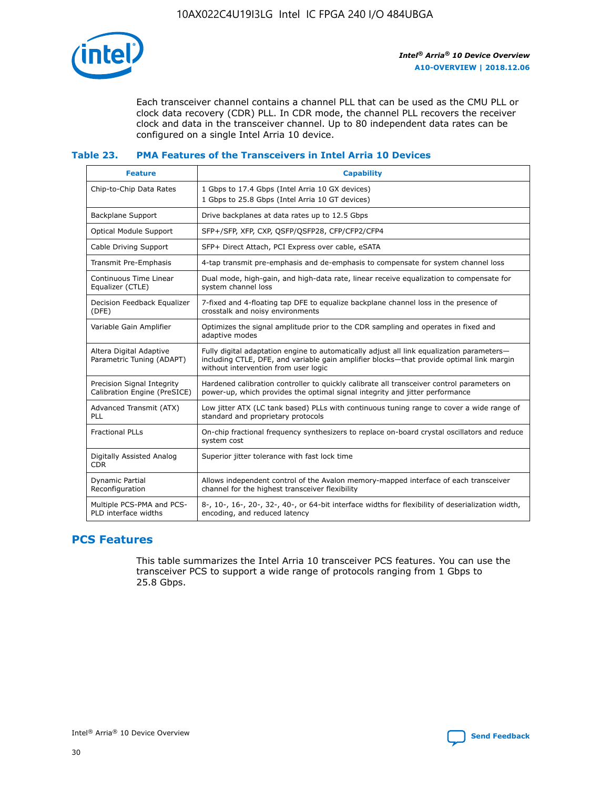

Each transceiver channel contains a channel PLL that can be used as the CMU PLL or clock data recovery (CDR) PLL. In CDR mode, the channel PLL recovers the receiver clock and data in the transceiver channel. Up to 80 independent data rates can be configured on a single Intel Arria 10 device.

#### **Table 23. PMA Features of the Transceivers in Intel Arria 10 Devices**

| <b>Feature</b>                                             | <b>Capability</b>                                                                                                                                                                                                             |
|------------------------------------------------------------|-------------------------------------------------------------------------------------------------------------------------------------------------------------------------------------------------------------------------------|
| Chip-to-Chip Data Rates                                    | 1 Gbps to 17.4 Gbps (Intel Arria 10 GX devices)<br>1 Gbps to 25.8 Gbps (Intel Arria 10 GT devices)                                                                                                                            |
| <b>Backplane Support</b>                                   | Drive backplanes at data rates up to 12.5 Gbps                                                                                                                                                                                |
| <b>Optical Module Support</b>                              | SFP+/SFP, XFP, CXP, QSFP/QSFP28, CFP/CFP2/CFP4                                                                                                                                                                                |
| Cable Driving Support                                      | SFP+ Direct Attach, PCI Express over cable, eSATA                                                                                                                                                                             |
| Transmit Pre-Emphasis                                      | 4-tap transmit pre-emphasis and de-emphasis to compensate for system channel loss                                                                                                                                             |
| Continuous Time Linear<br>Equalizer (CTLE)                 | Dual mode, high-gain, and high-data rate, linear receive equalization to compensate for<br>system channel loss                                                                                                                |
| Decision Feedback Equalizer<br>(DFE)                       | 7-fixed and 4-floating tap DFE to equalize backplane channel loss in the presence of<br>crosstalk and noisy environments                                                                                                      |
| Variable Gain Amplifier                                    | Optimizes the signal amplitude prior to the CDR sampling and operates in fixed and<br>adaptive modes                                                                                                                          |
| Altera Digital Adaptive<br>Parametric Tuning (ADAPT)       | Fully digital adaptation engine to automatically adjust all link equalization parameters-<br>including CTLE, DFE, and variable gain amplifier blocks—that provide optimal link margin<br>without intervention from user logic |
| Precision Signal Integrity<br>Calibration Engine (PreSICE) | Hardened calibration controller to quickly calibrate all transceiver control parameters on<br>power-up, which provides the optimal signal integrity and jitter performance                                                    |
| Advanced Transmit (ATX)<br><b>PLL</b>                      | Low jitter ATX (LC tank based) PLLs with continuous tuning range to cover a wide range of<br>standard and proprietary protocols                                                                                               |
| <b>Fractional PLLs</b>                                     | On-chip fractional frequency synthesizers to replace on-board crystal oscillators and reduce<br>system cost                                                                                                                   |
| Digitally Assisted Analog<br><b>CDR</b>                    | Superior jitter tolerance with fast lock time                                                                                                                                                                                 |
| Dynamic Partial<br>Reconfiguration                         | Allows independent control of the Avalon memory-mapped interface of each transceiver<br>channel for the highest transceiver flexibility                                                                                       |
| Multiple PCS-PMA and PCS-<br>PLD interface widths          | 8-, 10-, 16-, 20-, 32-, 40-, or 64-bit interface widths for flexibility of deserialization width,<br>encoding, and reduced latency                                                                                            |

# **PCS Features**

This table summarizes the Intel Arria 10 transceiver PCS features. You can use the transceiver PCS to support a wide range of protocols ranging from 1 Gbps to 25.8 Gbps.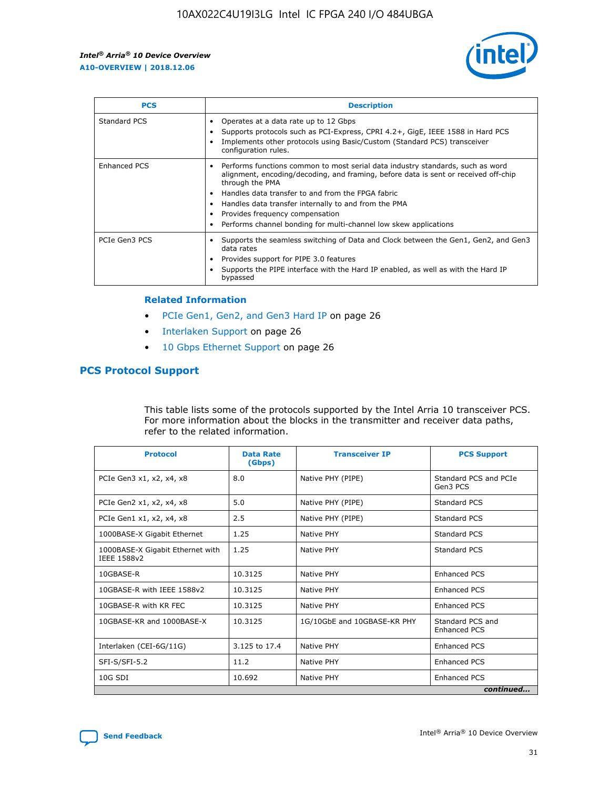

| <b>PCS</b>    | <b>Description</b>                                                                                                                                                                                                                                                                                                                                                                                             |
|---------------|----------------------------------------------------------------------------------------------------------------------------------------------------------------------------------------------------------------------------------------------------------------------------------------------------------------------------------------------------------------------------------------------------------------|
| Standard PCS  | Operates at a data rate up to 12 Gbps<br>Supports protocols such as PCI-Express, CPRI 4.2+, GigE, IEEE 1588 in Hard PCS<br>Implements other protocols using Basic/Custom (Standard PCS) transceiver<br>configuration rules.                                                                                                                                                                                    |
| Enhanced PCS  | Performs functions common to most serial data industry standards, such as word<br>alignment, encoding/decoding, and framing, before data is sent or received off-chip<br>through the PMA<br>• Handles data transfer to and from the FPGA fabric<br>Handles data transfer internally to and from the PMA<br>Provides frequency compensation<br>Performs channel bonding for multi-channel low skew applications |
| PCIe Gen3 PCS | Supports the seamless switching of Data and Clock between the Gen1, Gen2, and Gen3<br>data rates<br>Provides support for PIPE 3.0 features<br>Supports the PIPE interface with the Hard IP enabled, as well as with the Hard IP<br>bypassed                                                                                                                                                                    |

#### **Related Information**

- PCIe Gen1, Gen2, and Gen3 Hard IP on page 26
- Interlaken Support on page 26
- 10 Gbps Ethernet Support on page 26

# **PCS Protocol Support**

This table lists some of the protocols supported by the Intel Arria 10 transceiver PCS. For more information about the blocks in the transmitter and receiver data paths, refer to the related information.

| <b>Protocol</b>                                 | <b>Data Rate</b><br>(Gbps) | <b>Transceiver IP</b>       | <b>PCS Support</b>                      |
|-------------------------------------------------|----------------------------|-----------------------------|-----------------------------------------|
| PCIe Gen3 x1, x2, x4, x8                        | 8.0                        | Native PHY (PIPE)           | Standard PCS and PCIe<br>Gen3 PCS       |
| PCIe Gen2 x1, x2, x4, x8                        | 5.0                        | Native PHY (PIPE)           | <b>Standard PCS</b>                     |
| PCIe Gen1 x1, x2, x4, x8                        | 2.5                        | Native PHY (PIPE)           | Standard PCS                            |
| 1000BASE-X Gigabit Ethernet                     | 1.25                       | Native PHY                  | <b>Standard PCS</b>                     |
| 1000BASE-X Gigabit Ethernet with<br>IEEE 1588v2 | 1.25                       | Native PHY                  | Standard PCS                            |
| 10GBASE-R                                       | 10.3125                    | Native PHY                  | Enhanced PCS                            |
| 10GBASE-R with IEEE 1588v2                      | 10.3125                    | Native PHY                  | <b>Enhanced PCS</b>                     |
| 10GBASE-R with KR FEC                           | 10.3125                    | Native PHY                  | Enhanced PCS                            |
| 10GBASE-KR and 1000BASE-X                       | 10.3125                    | 1G/10GbE and 10GBASE-KR PHY | Standard PCS and<br><b>Enhanced PCS</b> |
| Interlaken (CEI-6G/11G)                         | 3.125 to 17.4              | Native PHY                  | <b>Enhanced PCS</b>                     |
| SFI-S/SFI-5.2                                   | 11.2                       | Native PHY                  | <b>Enhanced PCS</b>                     |
| 10G SDI                                         | 10.692                     | Native PHY                  | Enhanced PCS                            |
|                                                 |                            |                             | continued                               |

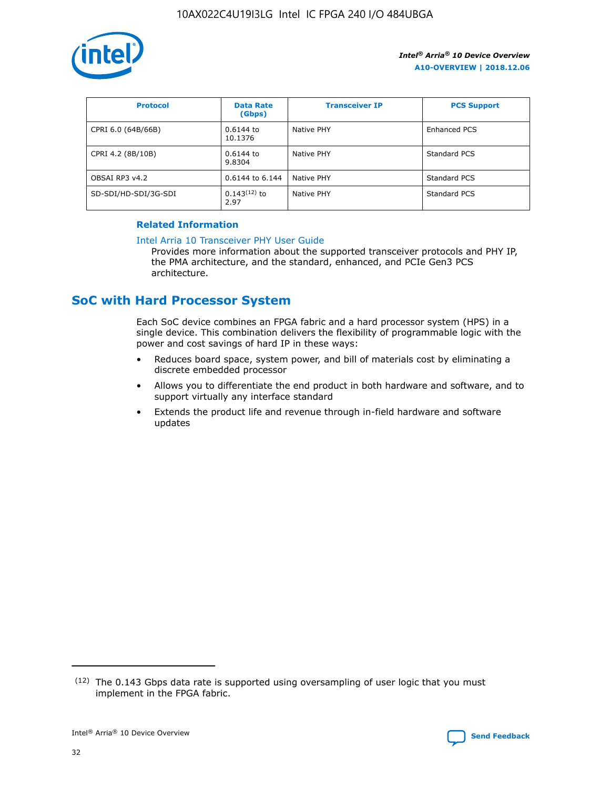

| <b>Protocol</b>      | <b>Data Rate</b><br>(Gbps) | <b>Transceiver IP</b> | <b>PCS Support</b> |
|----------------------|----------------------------|-----------------------|--------------------|
| CPRI 6.0 (64B/66B)   | 0.6144 to<br>10.1376       | Native PHY            | Enhanced PCS       |
| CPRI 4.2 (8B/10B)    | 0.6144 to<br>9.8304        | Native PHY            | Standard PCS       |
| OBSAI RP3 v4.2       | 0.6144 to 6.144            | Native PHY            | Standard PCS       |
| SD-SDI/HD-SDI/3G-SDI | $0.143(12)$ to<br>2.97     | Native PHY            | Standard PCS       |

## **Related Information**

#### [Intel Arria 10 Transceiver PHY User Guide](https://www.intel.com/content/www/us/en/programmable/documentation/nik1398707230472.html#nik1398707091164)

Provides more information about the supported transceiver protocols and PHY IP, the PMA architecture, and the standard, enhanced, and PCIe Gen3 PCS architecture.

# **SoC with Hard Processor System**

Each SoC device combines an FPGA fabric and a hard processor system (HPS) in a single device. This combination delivers the flexibility of programmable logic with the power and cost savings of hard IP in these ways:

- Reduces board space, system power, and bill of materials cost by eliminating a discrete embedded processor
- Allows you to differentiate the end product in both hardware and software, and to support virtually any interface standard
- Extends the product life and revenue through in-field hardware and software updates

 $(12)$  The 0.143 Gbps data rate is supported using oversampling of user logic that you must implement in the FPGA fabric.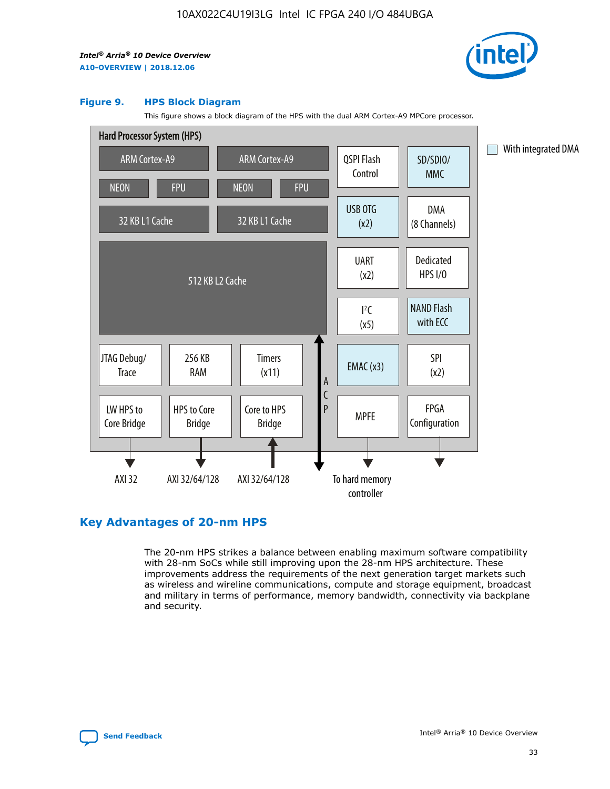

#### **Figure 9. HPS Block Diagram**

This figure shows a block diagram of the HPS with the dual ARM Cortex-A9 MPCore processor.



# **Key Advantages of 20-nm HPS**

The 20-nm HPS strikes a balance between enabling maximum software compatibility with 28-nm SoCs while still improving upon the 28-nm HPS architecture. These improvements address the requirements of the next generation target markets such as wireless and wireline communications, compute and storage equipment, broadcast and military in terms of performance, memory bandwidth, connectivity via backplane and security.

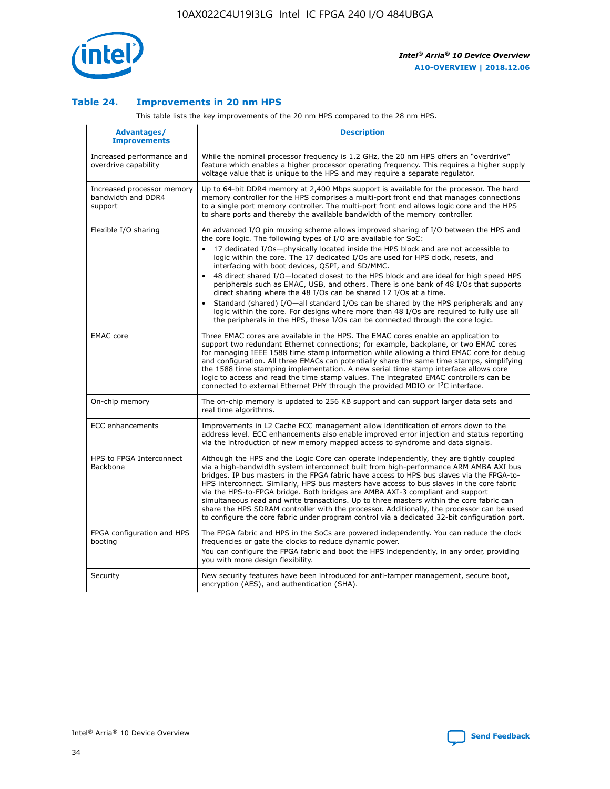

### **Table 24. Improvements in 20 nm HPS**

This table lists the key improvements of the 20 nm HPS compared to the 28 nm HPS.

| Advantages/<br><b>Improvements</b>                          | <b>Description</b>                                                                                                                                                                                                                                                                                                                                                                                                                                                                                                                                                                                                                                                                                                                                                                                                                                                                                                                   |
|-------------------------------------------------------------|--------------------------------------------------------------------------------------------------------------------------------------------------------------------------------------------------------------------------------------------------------------------------------------------------------------------------------------------------------------------------------------------------------------------------------------------------------------------------------------------------------------------------------------------------------------------------------------------------------------------------------------------------------------------------------------------------------------------------------------------------------------------------------------------------------------------------------------------------------------------------------------------------------------------------------------|
| Increased performance and<br>overdrive capability           | While the nominal processor frequency is 1.2 GHz, the 20 nm HPS offers an "overdrive"<br>feature which enables a higher processor operating frequency. This requires a higher supply<br>voltage value that is unique to the HPS and may require a separate regulator.                                                                                                                                                                                                                                                                                                                                                                                                                                                                                                                                                                                                                                                                |
| Increased processor memory<br>bandwidth and DDR4<br>support | Up to 64-bit DDR4 memory at 2,400 Mbps support is available for the processor. The hard<br>memory controller for the HPS comprises a multi-port front end that manages connections<br>to a single port memory controller. The multi-port front end allows logic core and the HPS<br>to share ports and thereby the available bandwidth of the memory controller.                                                                                                                                                                                                                                                                                                                                                                                                                                                                                                                                                                     |
| Flexible I/O sharing                                        | An advanced I/O pin muxing scheme allows improved sharing of I/O between the HPS and<br>the core logic. The following types of I/O are available for SoC:<br>17 dedicated I/Os-physically located inside the HPS block and are not accessible to<br>$\bullet$<br>logic within the core. The 17 dedicated I/Os are used for HPS clock, resets, and<br>interfacing with boot devices, QSPI, and SD/MMC.<br>48 direct shared I/O-located closest to the HPS block and are ideal for high speed HPS<br>peripherals such as EMAC, USB, and others. There is one bank of 48 I/Os that supports<br>direct sharing where the 48 I/Os can be shared 12 I/Os at a time.<br>Standard (shared) I/O—all standard I/Os can be shared by the HPS peripherals and any<br>logic within the core. For designs where more than 48 I/Os are required to fully use all<br>the peripherals in the HPS, these I/Os can be connected through the core logic. |
| <b>EMAC</b> core                                            | Three EMAC cores are available in the HPS. The EMAC cores enable an application to<br>support two redundant Ethernet connections; for example, backplane, or two EMAC cores<br>for managing IEEE 1588 time stamp information while allowing a third EMAC core for debug<br>and configuration. All three EMACs can potentially share the same time stamps, simplifying<br>the 1588 time stamping implementation. A new serial time stamp interface allows core<br>logic to access and read the time stamp values. The integrated EMAC controllers can be<br>connected to external Ethernet PHY through the provided MDIO or I <sup>2</sup> C interface.                                                                                                                                                                                                                                                                               |
| On-chip memory                                              | The on-chip memory is updated to 256 KB support and can support larger data sets and<br>real time algorithms.                                                                                                                                                                                                                                                                                                                                                                                                                                                                                                                                                                                                                                                                                                                                                                                                                        |
| <b>ECC</b> enhancements                                     | Improvements in L2 Cache ECC management allow identification of errors down to the<br>address level. ECC enhancements also enable improved error injection and status reporting<br>via the introduction of new memory mapped access to syndrome and data signals.                                                                                                                                                                                                                                                                                                                                                                                                                                                                                                                                                                                                                                                                    |
| HPS to FPGA Interconnect<br>Backbone                        | Although the HPS and the Logic Core can operate independently, they are tightly coupled<br>via a high-bandwidth system interconnect built from high-performance ARM AMBA AXI bus<br>bridges. IP bus masters in the FPGA fabric have access to HPS bus slaves via the FPGA-to-<br>HPS interconnect. Similarly, HPS bus masters have access to bus slaves in the core fabric<br>via the HPS-to-FPGA bridge. Both bridges are AMBA AXI-3 compliant and support<br>simultaneous read and write transactions. Up to three masters within the core fabric can<br>share the HPS SDRAM controller with the processor. Additionally, the processor can be used<br>to configure the core fabric under program control via a dedicated 32-bit configuration port.                                                                                                                                                                               |
| FPGA configuration and HPS<br>booting                       | The FPGA fabric and HPS in the SoCs are powered independently. You can reduce the clock<br>frequencies or gate the clocks to reduce dynamic power.<br>You can configure the FPGA fabric and boot the HPS independently, in any order, providing<br>you with more design flexibility.                                                                                                                                                                                                                                                                                                                                                                                                                                                                                                                                                                                                                                                 |
| Security                                                    | New security features have been introduced for anti-tamper management, secure boot,<br>encryption (AES), and authentication (SHA).                                                                                                                                                                                                                                                                                                                                                                                                                                                                                                                                                                                                                                                                                                                                                                                                   |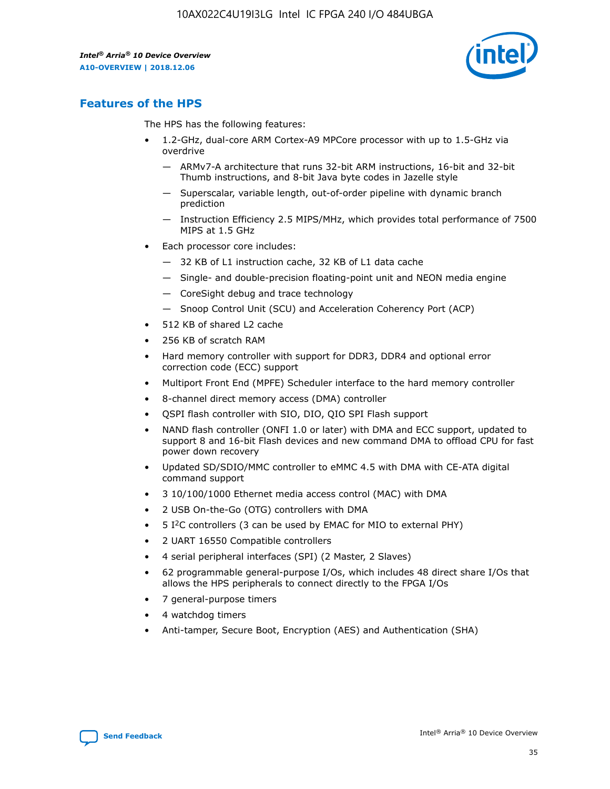

# **Features of the HPS**

The HPS has the following features:

- 1.2-GHz, dual-core ARM Cortex-A9 MPCore processor with up to 1.5-GHz via overdrive
	- ARMv7-A architecture that runs 32-bit ARM instructions, 16-bit and 32-bit Thumb instructions, and 8-bit Java byte codes in Jazelle style
	- Superscalar, variable length, out-of-order pipeline with dynamic branch prediction
	- Instruction Efficiency 2.5 MIPS/MHz, which provides total performance of 7500 MIPS at 1.5 GHz
- Each processor core includes:
	- 32 KB of L1 instruction cache, 32 KB of L1 data cache
	- Single- and double-precision floating-point unit and NEON media engine
	- CoreSight debug and trace technology
	- Snoop Control Unit (SCU) and Acceleration Coherency Port (ACP)
- 512 KB of shared L2 cache
- 256 KB of scratch RAM
- Hard memory controller with support for DDR3, DDR4 and optional error correction code (ECC) support
- Multiport Front End (MPFE) Scheduler interface to the hard memory controller
- 8-channel direct memory access (DMA) controller
- QSPI flash controller with SIO, DIO, QIO SPI Flash support
- NAND flash controller (ONFI 1.0 or later) with DMA and ECC support, updated to support 8 and 16-bit Flash devices and new command DMA to offload CPU for fast power down recovery
- Updated SD/SDIO/MMC controller to eMMC 4.5 with DMA with CE-ATA digital command support
- 3 10/100/1000 Ethernet media access control (MAC) with DMA
- 2 USB On-the-Go (OTG) controllers with DMA
- $\bullet$  5 I<sup>2</sup>C controllers (3 can be used by EMAC for MIO to external PHY)
- 2 UART 16550 Compatible controllers
- 4 serial peripheral interfaces (SPI) (2 Master, 2 Slaves)
- 62 programmable general-purpose I/Os, which includes 48 direct share I/Os that allows the HPS peripherals to connect directly to the FPGA I/Os
- 7 general-purpose timers
- 4 watchdog timers
- Anti-tamper, Secure Boot, Encryption (AES) and Authentication (SHA)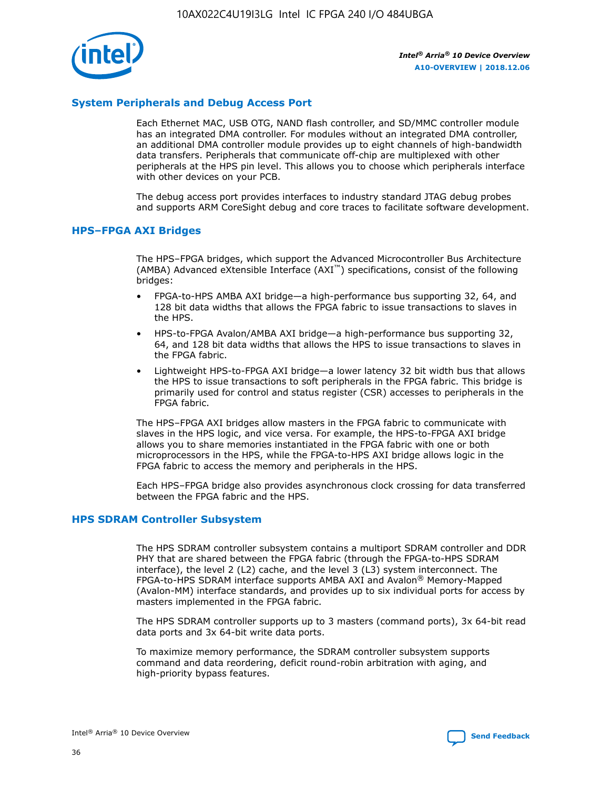

## **System Peripherals and Debug Access Port**

Each Ethernet MAC, USB OTG, NAND flash controller, and SD/MMC controller module has an integrated DMA controller. For modules without an integrated DMA controller, an additional DMA controller module provides up to eight channels of high-bandwidth data transfers. Peripherals that communicate off-chip are multiplexed with other peripherals at the HPS pin level. This allows you to choose which peripherals interface with other devices on your PCB.

The debug access port provides interfaces to industry standard JTAG debug probes and supports ARM CoreSight debug and core traces to facilitate software development.

#### **HPS–FPGA AXI Bridges**

The HPS–FPGA bridges, which support the Advanced Microcontroller Bus Architecture (AMBA) Advanced eXtensible Interface (AXI™) specifications, consist of the following bridges:

- FPGA-to-HPS AMBA AXI bridge—a high-performance bus supporting 32, 64, and 128 bit data widths that allows the FPGA fabric to issue transactions to slaves in the HPS.
- HPS-to-FPGA Avalon/AMBA AXI bridge—a high-performance bus supporting 32, 64, and 128 bit data widths that allows the HPS to issue transactions to slaves in the FPGA fabric.
- Lightweight HPS-to-FPGA AXI bridge—a lower latency 32 bit width bus that allows the HPS to issue transactions to soft peripherals in the FPGA fabric. This bridge is primarily used for control and status register (CSR) accesses to peripherals in the FPGA fabric.

The HPS–FPGA AXI bridges allow masters in the FPGA fabric to communicate with slaves in the HPS logic, and vice versa. For example, the HPS-to-FPGA AXI bridge allows you to share memories instantiated in the FPGA fabric with one or both microprocessors in the HPS, while the FPGA-to-HPS AXI bridge allows logic in the FPGA fabric to access the memory and peripherals in the HPS.

Each HPS–FPGA bridge also provides asynchronous clock crossing for data transferred between the FPGA fabric and the HPS.

#### **HPS SDRAM Controller Subsystem**

The HPS SDRAM controller subsystem contains a multiport SDRAM controller and DDR PHY that are shared between the FPGA fabric (through the FPGA-to-HPS SDRAM interface), the level 2 (L2) cache, and the level 3 (L3) system interconnect. The FPGA-to-HPS SDRAM interface supports AMBA AXI and Avalon® Memory-Mapped (Avalon-MM) interface standards, and provides up to six individual ports for access by masters implemented in the FPGA fabric.

The HPS SDRAM controller supports up to 3 masters (command ports), 3x 64-bit read data ports and 3x 64-bit write data ports.

To maximize memory performance, the SDRAM controller subsystem supports command and data reordering, deficit round-robin arbitration with aging, and high-priority bypass features.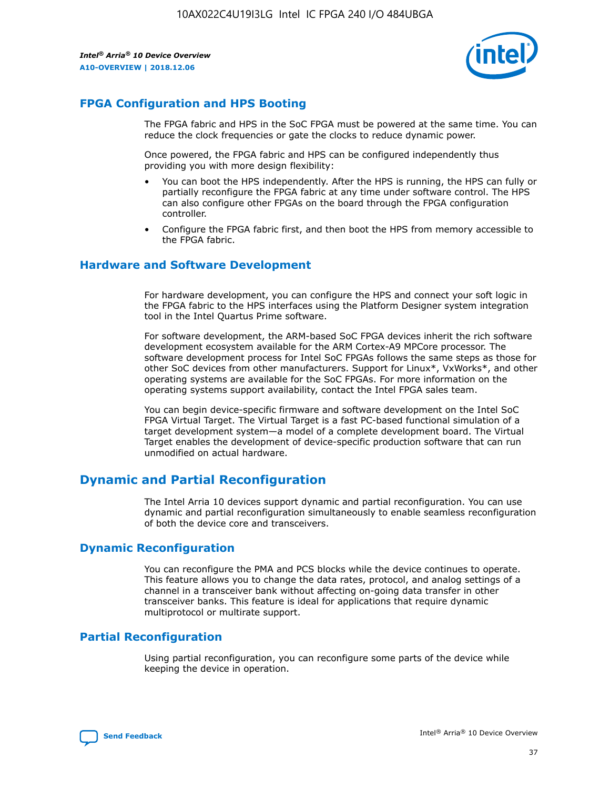

# **FPGA Configuration and HPS Booting**

The FPGA fabric and HPS in the SoC FPGA must be powered at the same time. You can reduce the clock frequencies or gate the clocks to reduce dynamic power.

Once powered, the FPGA fabric and HPS can be configured independently thus providing you with more design flexibility:

- You can boot the HPS independently. After the HPS is running, the HPS can fully or partially reconfigure the FPGA fabric at any time under software control. The HPS can also configure other FPGAs on the board through the FPGA configuration controller.
- Configure the FPGA fabric first, and then boot the HPS from memory accessible to the FPGA fabric.

### **Hardware and Software Development**

For hardware development, you can configure the HPS and connect your soft logic in the FPGA fabric to the HPS interfaces using the Platform Designer system integration tool in the Intel Quartus Prime software.

For software development, the ARM-based SoC FPGA devices inherit the rich software development ecosystem available for the ARM Cortex-A9 MPCore processor. The software development process for Intel SoC FPGAs follows the same steps as those for other SoC devices from other manufacturers. Support for Linux\*, VxWorks\*, and other operating systems are available for the SoC FPGAs. For more information on the operating systems support availability, contact the Intel FPGA sales team.

You can begin device-specific firmware and software development on the Intel SoC FPGA Virtual Target. The Virtual Target is a fast PC-based functional simulation of a target development system—a model of a complete development board. The Virtual Target enables the development of device-specific production software that can run unmodified on actual hardware.

# **Dynamic and Partial Reconfiguration**

The Intel Arria 10 devices support dynamic and partial reconfiguration. You can use dynamic and partial reconfiguration simultaneously to enable seamless reconfiguration of both the device core and transceivers.

# **Dynamic Reconfiguration**

You can reconfigure the PMA and PCS blocks while the device continues to operate. This feature allows you to change the data rates, protocol, and analog settings of a channel in a transceiver bank without affecting on-going data transfer in other transceiver banks. This feature is ideal for applications that require dynamic multiprotocol or multirate support.

# **Partial Reconfiguration**

Using partial reconfiguration, you can reconfigure some parts of the device while keeping the device in operation.

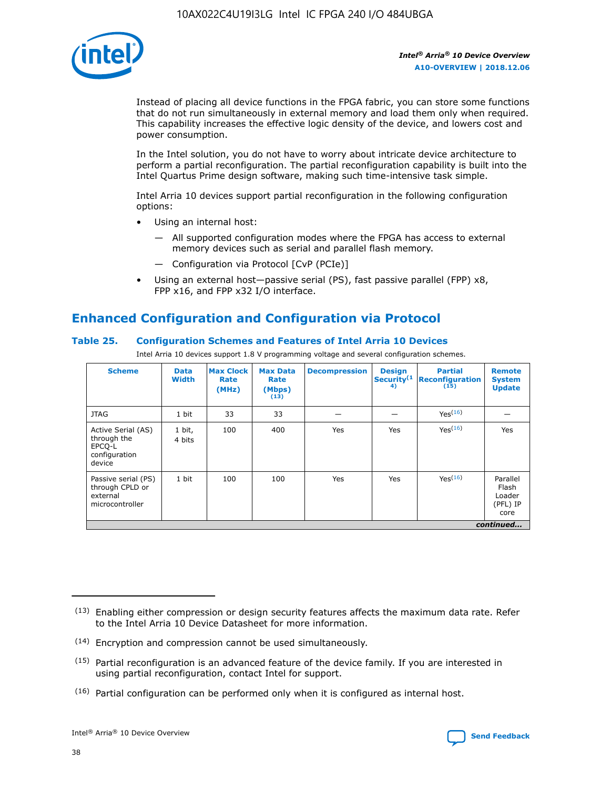

Instead of placing all device functions in the FPGA fabric, you can store some functions that do not run simultaneously in external memory and load them only when required. This capability increases the effective logic density of the device, and lowers cost and power consumption.

In the Intel solution, you do not have to worry about intricate device architecture to perform a partial reconfiguration. The partial reconfiguration capability is built into the Intel Quartus Prime design software, making such time-intensive task simple.

Intel Arria 10 devices support partial reconfiguration in the following configuration options:

- Using an internal host:
	- All supported configuration modes where the FPGA has access to external memory devices such as serial and parallel flash memory.
	- Configuration via Protocol [CvP (PCIe)]
- Using an external host—passive serial (PS), fast passive parallel (FPP) x8, FPP x16, and FPP x32 I/O interface.

# **Enhanced Configuration and Configuration via Protocol**

## **Table 25. Configuration Schemes and Features of Intel Arria 10 Devices**

Intel Arria 10 devices support 1.8 V programming voltage and several configuration schemes.

| <b>Scheme</b>                                                          | <b>Data</b><br><b>Width</b> | <b>Max Clock</b><br>Rate<br>(MHz) | <b>Max Data</b><br>Rate<br>(Mbps)<br>(13) | <b>Decompression</b> | <b>Design</b><br>Security <sup>(1</sup><br>4) | <b>Partial</b><br>Reconfiguration<br>(15) | <b>Remote</b><br><b>System</b><br><b>Update</b> |
|------------------------------------------------------------------------|-----------------------------|-----------------------------------|-------------------------------------------|----------------------|-----------------------------------------------|-------------------------------------------|-------------------------------------------------|
| <b>JTAG</b>                                                            | 1 bit                       | 33                                | 33                                        |                      |                                               | Yes(16)                                   |                                                 |
| Active Serial (AS)<br>through the<br>EPCO-L<br>configuration<br>device | 1 bit,<br>4 bits            | 100                               | 400                                       | Yes                  | Yes                                           | Yes(16)                                   | Yes                                             |
| Passive serial (PS)<br>through CPLD or<br>external<br>microcontroller  | 1 bit                       | 100                               | 100                                       | Yes                  | Yes                                           | Yes <sup>(16)</sup>                       | Parallel<br>Flash<br>Loader<br>(PFL) IP<br>core |
|                                                                        |                             |                                   |                                           |                      |                                               |                                           | continued                                       |

<sup>(13)</sup> Enabling either compression or design security features affects the maximum data rate. Refer to the Intel Arria 10 Device Datasheet for more information.

<sup>(14)</sup> Encryption and compression cannot be used simultaneously.

 $(15)$  Partial reconfiguration is an advanced feature of the device family. If you are interested in using partial reconfiguration, contact Intel for support.

 $(16)$  Partial configuration can be performed only when it is configured as internal host.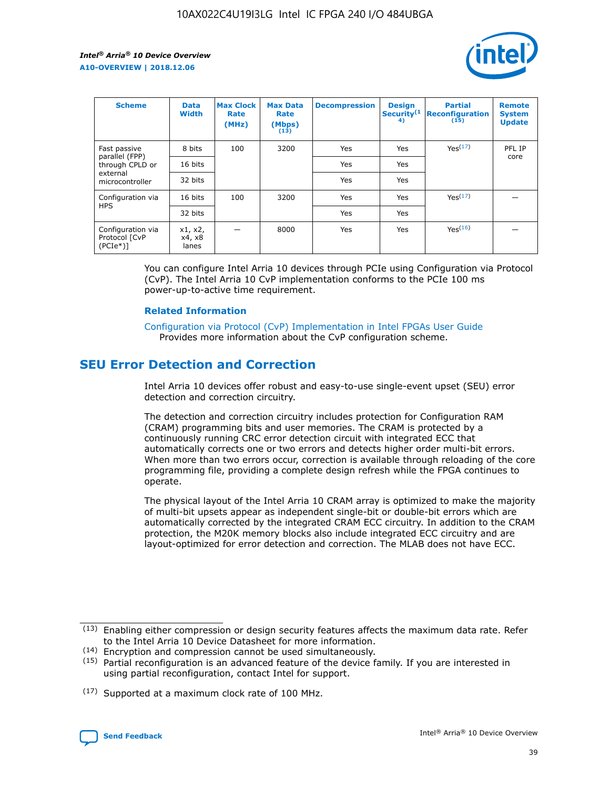

| <b>Scheme</b>                                   | <b>Data</b><br><b>Width</b> | <b>Max Clock</b><br>Rate<br>(MHz) | <b>Max Data</b><br>Rate<br>(Mbps)<br>(13) | <b>Decompression</b> | <b>Design</b><br>Security <sup>(1</sup><br>4) | <b>Partial</b><br><b>Reconfiguration</b><br>(15) | <b>Remote</b><br><b>System</b><br><b>Update</b> |
|-------------------------------------------------|-----------------------------|-----------------------------------|-------------------------------------------|----------------------|-----------------------------------------------|--------------------------------------------------|-------------------------------------------------|
| Fast passive                                    | 8 bits                      | 100                               | 3200                                      | Yes                  | Yes                                           | Yes(17)                                          | PFL IP                                          |
| parallel (FPP)<br>through CPLD or               | 16 bits                     |                                   |                                           | Yes                  | Yes                                           |                                                  | core                                            |
| external<br>microcontroller                     | 32 bits                     |                                   |                                           | Yes                  | Yes                                           |                                                  |                                                 |
| Configuration via                               | 16 bits                     | 100                               | 3200                                      | Yes                  | Yes                                           | Yes <sup>(17)</sup>                              |                                                 |
| <b>HPS</b>                                      | 32 bits                     |                                   |                                           | Yes                  | Yes                                           |                                                  |                                                 |
| Configuration via<br>Protocol [CvP<br>$(PCIe*)$ | x1, x2,<br>x4, x8<br>lanes  |                                   | 8000                                      | Yes                  | Yes                                           | Yes <sup>(16)</sup>                              |                                                 |

You can configure Intel Arria 10 devices through PCIe using Configuration via Protocol (CvP). The Intel Arria 10 CvP implementation conforms to the PCIe 100 ms power-up-to-active time requirement.

#### **Related Information**

[Configuration via Protocol \(CvP\) Implementation in Intel FPGAs User Guide](https://www.intel.com/content/www/us/en/programmable/documentation/dsu1441819344145.html#dsu1442269728522) Provides more information about the CvP configuration scheme.

# **SEU Error Detection and Correction**

Intel Arria 10 devices offer robust and easy-to-use single-event upset (SEU) error detection and correction circuitry.

The detection and correction circuitry includes protection for Configuration RAM (CRAM) programming bits and user memories. The CRAM is protected by a continuously running CRC error detection circuit with integrated ECC that automatically corrects one or two errors and detects higher order multi-bit errors. When more than two errors occur, correction is available through reloading of the core programming file, providing a complete design refresh while the FPGA continues to operate.

The physical layout of the Intel Arria 10 CRAM array is optimized to make the majority of multi-bit upsets appear as independent single-bit or double-bit errors which are automatically corrected by the integrated CRAM ECC circuitry. In addition to the CRAM protection, the M20K memory blocks also include integrated ECC circuitry and are layout-optimized for error detection and correction. The MLAB does not have ECC.

(14) Encryption and compression cannot be used simultaneously.

<sup>(17)</sup> Supported at a maximum clock rate of 100 MHz.



 $(13)$  Enabling either compression or design security features affects the maximum data rate. Refer to the Intel Arria 10 Device Datasheet for more information.

 $(15)$  Partial reconfiguration is an advanced feature of the device family. If you are interested in using partial reconfiguration, contact Intel for support.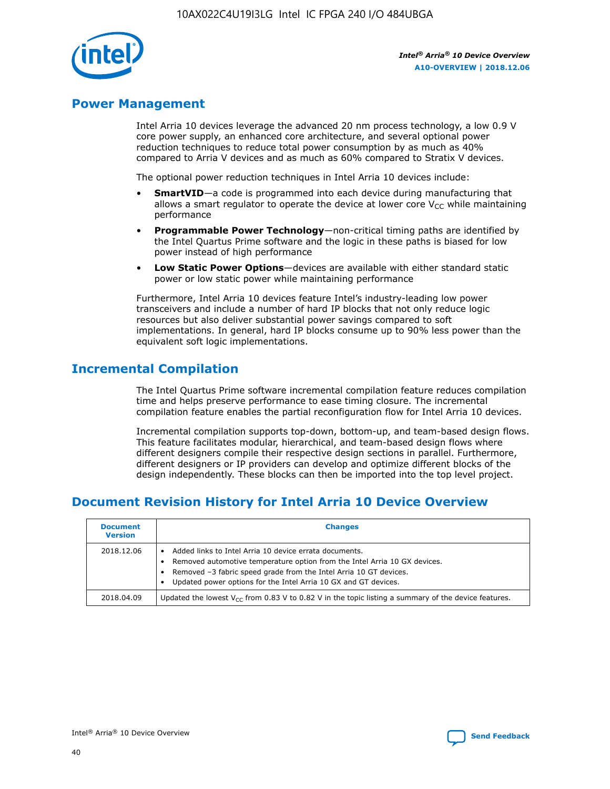

# **Power Management**

Intel Arria 10 devices leverage the advanced 20 nm process technology, a low 0.9 V core power supply, an enhanced core architecture, and several optional power reduction techniques to reduce total power consumption by as much as 40% compared to Arria V devices and as much as 60% compared to Stratix V devices.

The optional power reduction techniques in Intel Arria 10 devices include:

- **SmartVID**—a code is programmed into each device during manufacturing that allows a smart regulator to operate the device at lower core  $V_{CC}$  while maintaining performance
- **Programmable Power Technology**—non-critical timing paths are identified by the Intel Quartus Prime software and the logic in these paths is biased for low power instead of high performance
- **Low Static Power Options**—devices are available with either standard static power or low static power while maintaining performance

Furthermore, Intel Arria 10 devices feature Intel's industry-leading low power transceivers and include a number of hard IP blocks that not only reduce logic resources but also deliver substantial power savings compared to soft implementations. In general, hard IP blocks consume up to 90% less power than the equivalent soft logic implementations.

# **Incremental Compilation**

The Intel Quartus Prime software incremental compilation feature reduces compilation time and helps preserve performance to ease timing closure. The incremental compilation feature enables the partial reconfiguration flow for Intel Arria 10 devices.

Incremental compilation supports top-down, bottom-up, and team-based design flows. This feature facilitates modular, hierarchical, and team-based design flows where different designers compile their respective design sections in parallel. Furthermore, different designers or IP providers can develop and optimize different blocks of the design independently. These blocks can then be imported into the top level project.

# **Document Revision History for Intel Arria 10 Device Overview**

| <b>Document</b><br><b>Version</b> | <b>Changes</b>                                                                                                                                                                                                                                                              |
|-----------------------------------|-----------------------------------------------------------------------------------------------------------------------------------------------------------------------------------------------------------------------------------------------------------------------------|
| 2018.12.06                        | Added links to Intel Arria 10 device errata documents.<br>Removed automotive temperature option from the Intel Arria 10 GX devices.<br>Removed -3 fabric speed grade from the Intel Arria 10 GT devices.<br>Updated power options for the Intel Arria 10 GX and GT devices. |
| 2018.04.09                        | Updated the lowest $V_{CC}$ from 0.83 V to 0.82 V in the topic listing a summary of the device features.                                                                                                                                                                    |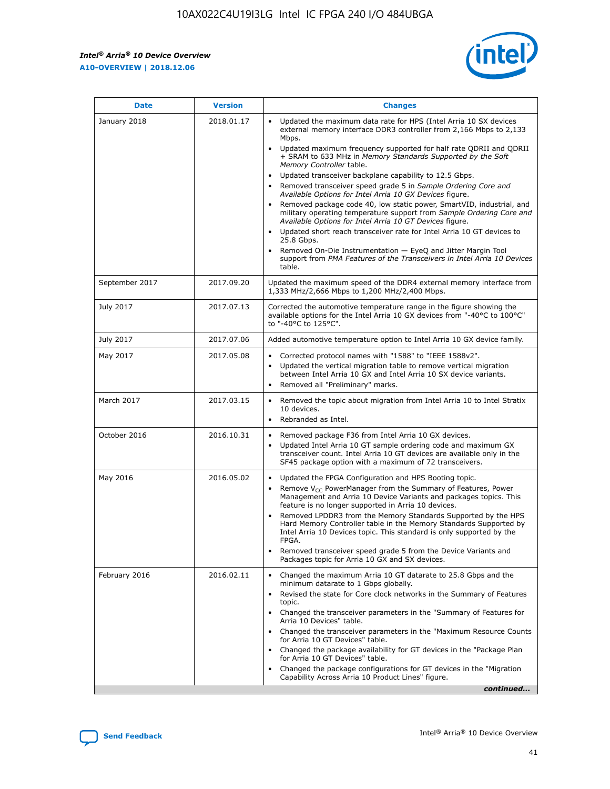$\mathsf{r}$ 



| <b>Date</b>    | <b>Version</b> | <b>Changes</b>                                                                                                                                                                                                                                                                                                                                                                                                                                                                                                                                                                                                                                                                                                                                                                                                                                                                                                                                                                         |
|----------------|----------------|----------------------------------------------------------------------------------------------------------------------------------------------------------------------------------------------------------------------------------------------------------------------------------------------------------------------------------------------------------------------------------------------------------------------------------------------------------------------------------------------------------------------------------------------------------------------------------------------------------------------------------------------------------------------------------------------------------------------------------------------------------------------------------------------------------------------------------------------------------------------------------------------------------------------------------------------------------------------------------------|
| January 2018   | 2018.01.17     | Updated the maximum data rate for HPS (Intel Arria 10 SX devices<br>external memory interface DDR3 controller from 2,166 Mbps to 2,133<br>Mbps.<br>Updated maximum frequency supported for half rate QDRII and QDRII<br>$\bullet$<br>+ SRAM to 633 MHz in Memory Standards Supported by the Soft<br>Memory Controller table.<br>Updated transceiver backplane capability to 12.5 Gbps.<br>$\bullet$<br>Removed transceiver speed grade 5 in Sample Ordering Core and<br>Available Options for Intel Arria 10 GX Devices figure.<br>Removed package code 40, low static power, SmartVID, industrial, and<br>military operating temperature support from Sample Ordering Core and<br>Available Options for Intel Arria 10 GT Devices figure.<br>Updated short reach transceiver rate for Intel Arria 10 GT devices to<br>25.8 Gbps.<br>Removed On-Die Instrumentation - EyeQ and Jitter Margin Tool<br>support from PMA Features of the Transceivers in Intel Arria 10 Devices<br>table. |
| September 2017 | 2017.09.20     | Updated the maximum speed of the DDR4 external memory interface from<br>1,333 MHz/2,666 Mbps to 1,200 MHz/2,400 Mbps.                                                                                                                                                                                                                                                                                                                                                                                                                                                                                                                                                                                                                                                                                                                                                                                                                                                                  |
| July 2017      | 2017.07.13     | Corrected the automotive temperature range in the figure showing the<br>available options for the Intel Arria 10 GX devices from "-40°C to 100°C"<br>to "-40°C to 125°C".                                                                                                                                                                                                                                                                                                                                                                                                                                                                                                                                                                                                                                                                                                                                                                                                              |
| July 2017      | 2017.07.06     | Added automotive temperature option to Intel Arria 10 GX device family.                                                                                                                                                                                                                                                                                                                                                                                                                                                                                                                                                                                                                                                                                                                                                                                                                                                                                                                |
| May 2017       | 2017.05.08     | Corrected protocol names with "1588" to "IEEE 1588v2".<br>$\bullet$<br>Updated the vertical migration table to remove vertical migration<br>$\bullet$<br>between Intel Arria 10 GX and Intel Arria 10 SX device variants.<br>Removed all "Preliminary" marks.<br>$\bullet$                                                                                                                                                                                                                                                                                                                                                                                                                                                                                                                                                                                                                                                                                                             |
| March 2017     | 2017.03.15     | Removed the topic about migration from Intel Arria 10 to Intel Stratix<br>10 devices.<br>Rebranded as Intel.<br>$\bullet$                                                                                                                                                                                                                                                                                                                                                                                                                                                                                                                                                                                                                                                                                                                                                                                                                                                              |
| October 2016   | 2016.10.31     | Removed package F36 from Intel Arria 10 GX devices.<br>Updated Intel Arria 10 GT sample ordering code and maximum GX<br>$\bullet$<br>transceiver count. Intel Arria 10 GT devices are available only in the<br>SF45 package option with a maximum of 72 transceivers.                                                                                                                                                                                                                                                                                                                                                                                                                                                                                                                                                                                                                                                                                                                  |
| May 2016       | 2016.05.02     | Updated the FPGA Configuration and HPS Booting topic.<br>Remove $V_{CC}$ PowerManager from the Summary of Features, Power<br>$\bullet$<br>Management and Arria 10 Device Variants and packages topics. This<br>feature is no longer supported in Arria 10 devices.<br>Removed LPDDR3 from the Memory Standards Supported by the HPS<br>Hard Memory Controller table in the Memory Standards Supported by<br>Intel Arria 10 Devices topic. This standard is only supported by the<br>FPGA.<br>Removed transceiver speed grade 5 from the Device Variants and<br>Packages topic for Arria 10 GX and SX devices.                                                                                                                                                                                                                                                                                                                                                                          |
| February 2016  | 2016.02.11     | Changed the maximum Arria 10 GT datarate to 25.8 Gbps and the<br>minimum datarate to 1 Gbps globally.<br>Revised the state for Core clock networks in the Summary of Features<br>$\bullet$<br>topic.<br>• Changed the transceiver parameters in the "Summary of Features for<br>Arria 10 Devices" table.<br>Changed the transceiver parameters in the "Maximum Resource Counts"<br>$\bullet$<br>for Arria 10 GT Devices" table.<br>• Changed the package availability for GT devices in the "Package Plan<br>for Arria 10 GT Devices" table.<br>Changed the package configurations for GT devices in the "Migration"<br>Capability Across Arria 10 Product Lines" figure.<br>continued                                                                                                                                                                                                                                                                                                 |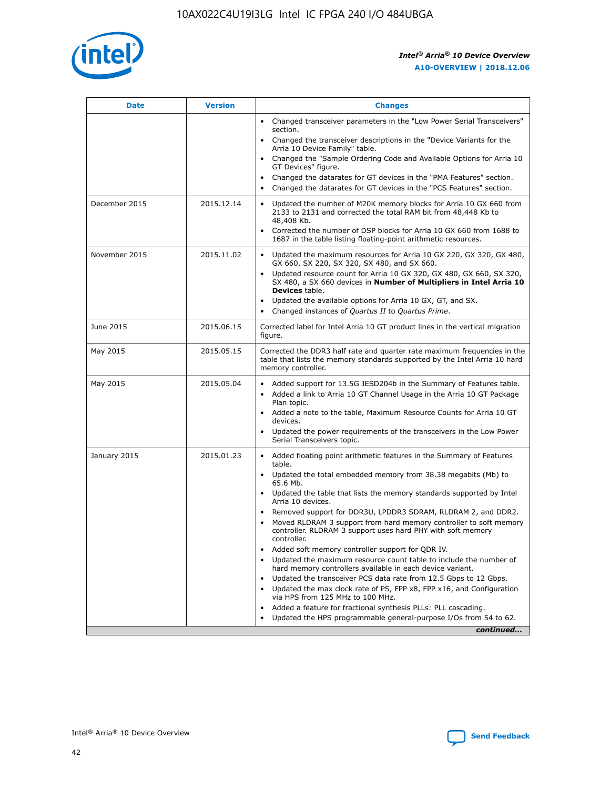

| <b>Date</b>   | <b>Version</b> | <b>Changes</b>                                                                                                                                                                   |
|---------------|----------------|----------------------------------------------------------------------------------------------------------------------------------------------------------------------------------|
|               |                | • Changed transceiver parameters in the "Low Power Serial Transceivers"<br>section.                                                                                              |
|               |                | • Changed the transceiver descriptions in the "Device Variants for the<br>Arria 10 Device Family" table.                                                                         |
|               |                | Changed the "Sample Ordering Code and Available Options for Arria 10<br>GT Devices" figure.                                                                                      |
|               |                | Changed the datarates for GT devices in the "PMA Features" section.                                                                                                              |
|               |                | Changed the datarates for GT devices in the "PCS Features" section.<br>$\bullet$                                                                                                 |
| December 2015 | 2015.12.14     | Updated the number of M20K memory blocks for Arria 10 GX 660 from<br>$\bullet$<br>2133 to 2131 and corrected the total RAM bit from 48,448 Kb to<br>48,408 Kb.                   |
|               |                | Corrected the number of DSP blocks for Arria 10 GX 660 from 1688 to<br>$\bullet$<br>1687 in the table listing floating-point arithmetic resources.                               |
| November 2015 | 2015.11.02     | Updated the maximum resources for Arria 10 GX 220, GX 320, GX 480,<br>$\bullet$<br>GX 660, SX 220, SX 320, SX 480, and SX 660.                                                   |
|               |                | Updated resource count for Arria 10 GX 320, GX 480, GX 660, SX 320,<br>$\bullet$<br>SX 480, a SX 660 devices in Number of Multipliers in Intel Arria 10<br><b>Devices</b> table. |
|               |                | Updated the available options for Arria 10 GX, GT, and SX.<br>$\bullet$                                                                                                          |
|               |                | Changed instances of Quartus II to Quartus Prime.<br>$\bullet$                                                                                                                   |
| June 2015     | 2015.06.15     | Corrected label for Intel Arria 10 GT product lines in the vertical migration<br>figure.                                                                                         |
| May 2015      | 2015.05.15     | Corrected the DDR3 half rate and quarter rate maximum frequencies in the<br>table that lists the memory standards supported by the Intel Arria 10 hard<br>memory controller.     |
| May 2015      | 2015.05.04     | • Added support for 13.5G JESD204b in the Summary of Features table.<br>• Added a link to Arria 10 GT Channel Usage in the Arria 10 GT Package<br>Plan topic.                    |
|               |                | • Added a note to the table, Maximum Resource Counts for Arria 10 GT<br>devices.                                                                                                 |
|               |                | Updated the power requirements of the transceivers in the Low Power<br>Serial Transceivers topic.                                                                                |
| January 2015  | 2015.01.23     | • Added floating point arithmetic features in the Summary of Features<br>table.                                                                                                  |
|               |                | • Updated the total embedded memory from 38.38 megabits (Mb) to<br>65.6 Mb.                                                                                                      |
|               |                | • Updated the table that lists the memory standards supported by Intel<br>Arria 10 devices.                                                                                      |
|               |                | Removed support for DDR3U, LPDDR3 SDRAM, RLDRAM 2, and DDR2.                                                                                                                     |
|               |                | Moved RLDRAM 3 support from hard memory controller to soft memory<br>controller. RLDRAM 3 support uses hard PHY with soft memory<br>controller.                                  |
|               |                | Added soft memory controller support for QDR IV.                                                                                                                                 |
|               |                | Updated the maximum resource count table to include the number of<br>hard memory controllers available in each device variant.                                                   |
|               |                | Updated the transceiver PCS data rate from 12.5 Gbps to 12 Gbps.<br>$\bullet$                                                                                                    |
|               |                | Updated the max clock rate of PS, FPP x8, FPP x16, and Configuration<br>via HPS from 125 MHz to 100 MHz.                                                                         |
|               |                | Added a feature for fractional synthesis PLLs: PLL cascading.                                                                                                                    |
|               |                | Updated the HPS programmable general-purpose I/Os from 54 to 62.                                                                                                                 |
|               |                | continued                                                                                                                                                                        |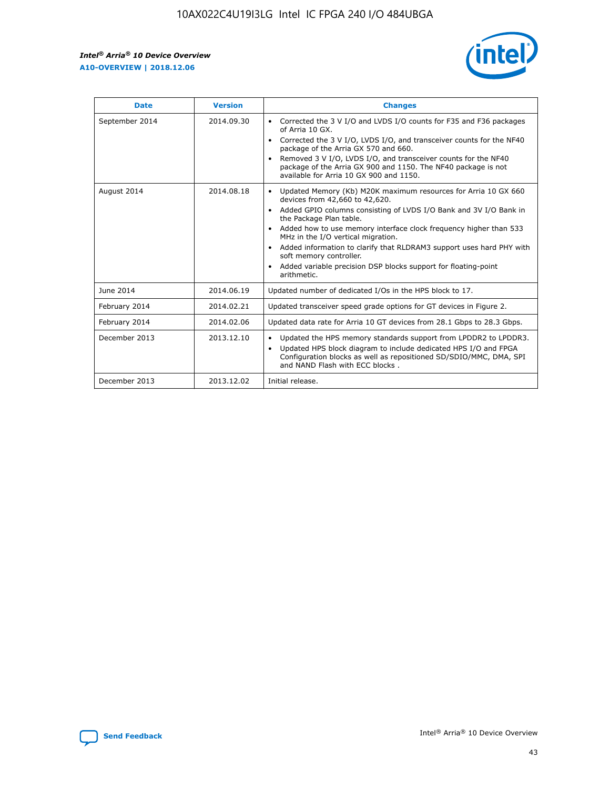

| <b>Date</b>    | <b>Version</b> | <b>Changes</b>                                                                                                                                                                                                                                                                                                                                                                                                                                                                                                                                                   |
|----------------|----------------|------------------------------------------------------------------------------------------------------------------------------------------------------------------------------------------------------------------------------------------------------------------------------------------------------------------------------------------------------------------------------------------------------------------------------------------------------------------------------------------------------------------------------------------------------------------|
| September 2014 | 2014.09.30     | Corrected the 3 V I/O and LVDS I/O counts for F35 and F36 packages<br>$\bullet$<br>of Arria 10 GX.<br>Corrected the 3 V I/O, LVDS I/O, and transceiver counts for the NF40<br>$\bullet$<br>package of the Arria GX 570 and 660.<br>Removed 3 V I/O, LVDS I/O, and transceiver counts for the NF40<br>$\bullet$<br>package of the Arria GX 900 and 1150. The NF40 package is not<br>available for Arria 10 GX 900 and 1150.                                                                                                                                       |
| August 2014    | 2014.08.18     | Updated Memory (Kb) M20K maximum resources for Arria 10 GX 660<br>$\bullet$<br>devices from 42,660 to 42,620.<br>Added GPIO columns consisting of LVDS I/O Bank and 3V I/O Bank in<br>$\bullet$<br>the Package Plan table.<br>Added how to use memory interface clock frequency higher than 533<br>$\bullet$<br>MHz in the I/O vertical migration.<br>Added information to clarify that RLDRAM3 support uses hard PHY with<br>$\bullet$<br>soft memory controller.<br>Added variable precision DSP blocks support for floating-point<br>$\bullet$<br>arithmetic. |
| June 2014      | 2014.06.19     | Updated number of dedicated I/Os in the HPS block to 17.                                                                                                                                                                                                                                                                                                                                                                                                                                                                                                         |
| February 2014  | 2014.02.21     | Updated transceiver speed grade options for GT devices in Figure 2.                                                                                                                                                                                                                                                                                                                                                                                                                                                                                              |
| February 2014  | 2014.02.06     | Updated data rate for Arria 10 GT devices from 28.1 Gbps to 28.3 Gbps.                                                                                                                                                                                                                                                                                                                                                                                                                                                                                           |
| December 2013  | 2013.12.10     | Updated the HPS memory standards support from LPDDR2 to LPDDR3.<br>٠<br>Updated HPS block diagram to include dedicated HPS I/O and FPGA<br>$\bullet$<br>Configuration blocks as well as repositioned SD/SDIO/MMC, DMA, SPI<br>and NAND Flash with ECC blocks.                                                                                                                                                                                                                                                                                                    |
| December 2013  | 2013.12.02     | Initial release.                                                                                                                                                                                                                                                                                                                                                                                                                                                                                                                                                 |